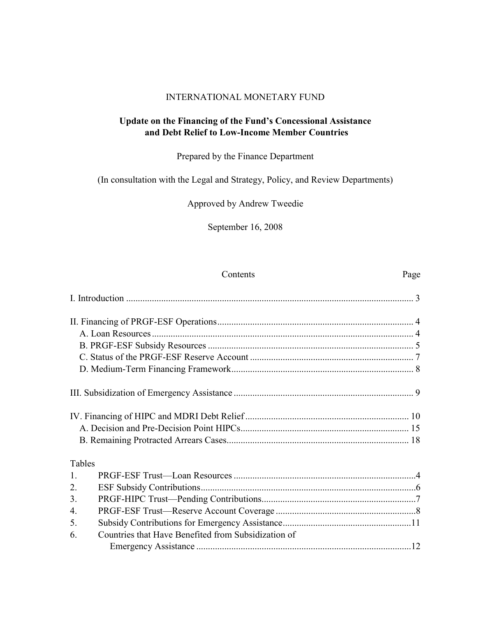#### INTERNATIONAL MONETARY FUND

### **Update on the Financing of the Fund's Concessional Assistance and Debt Relief to Low-Income Member Countries**

## Prepared by the Finance Department

#### (In consultation with the Legal and Strategy, Policy, and Review Departments)

### Approved by Andrew Tweedie

September 16, 2008

| Contents                                                  | Page |
|-----------------------------------------------------------|------|
|                                                           |      |
|                                                           |      |
|                                                           |      |
|                                                           |      |
|                                                           |      |
|                                                           |      |
|                                                           |      |
|                                                           |      |
|                                                           |      |
|                                                           |      |
| Tables                                                    |      |
| $\mathbf{1}$ .                                            |      |
| 2.                                                        |      |
| 3.                                                        |      |
| $\overline{4}$ .                                          |      |
| 5.                                                        |      |
| Countries that Have Benefited from Subsidization of<br>6. |      |
|                                                           |      |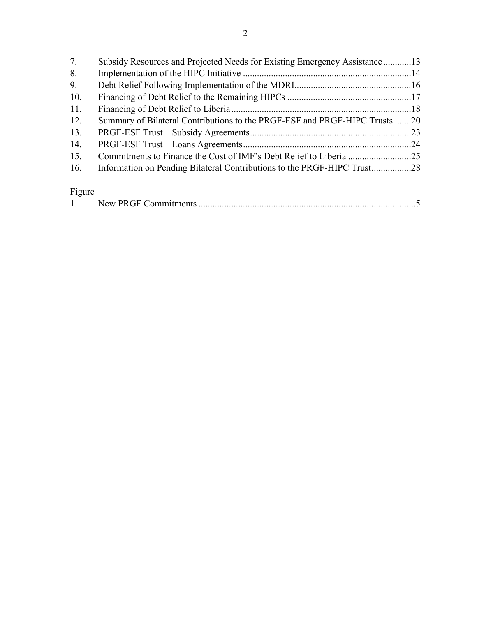| 7.     | Subsidy Resources and Projected Needs for Existing Emergency Assistance13  |  |
|--------|----------------------------------------------------------------------------|--|
| 8.     |                                                                            |  |
| 9.     |                                                                            |  |
| 10.    |                                                                            |  |
| 11.    |                                                                            |  |
| 12.    | Summary of Bilateral Contributions to the PRGF-ESF and PRGF-HIPC Trusts 20 |  |
| 13.    |                                                                            |  |
| 14.    |                                                                            |  |
| 15.    |                                                                            |  |
| 16.    |                                                                            |  |
|        |                                                                            |  |
| Figure |                                                                            |  |

| . . |  |  |
|-----|--|--|
|-----|--|--|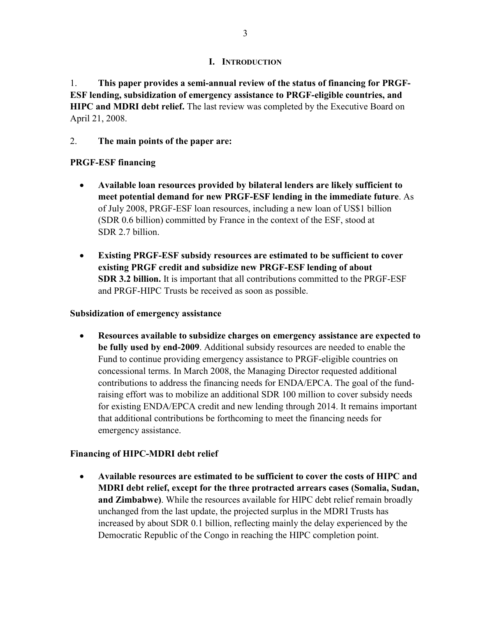#### **I. INTRODUCTION**

1. **This paper provides a semi-annual review of the status of financing for PRGF-ESF lending, subsidization of emergency assistance to PRGF-eligible countries, and HIPC and MDRI debt relief.** The last review was completed by the Executive Board on April 21, 2008.

## 2. **The main points of the paper are:**

## **PRGF-ESF financing**

- **Available loan resources provided by bilateral lenders are likely sufficient to meet potential demand for new PRGF-ESF lending in the immediate future**. As of July 2008, PRGF-ESF loan resources, including a new loan of US\$1 billion (SDR 0.6 billion) committed by France in the context of the ESF, stood at SDR 2.7 billion.
- **Existing PRGF-ESF subsidy resources are estimated to be sufficient to cover existing PRGF credit and subsidize new PRGF-ESF lending of about SDR 3.2 billion.** It is important that all contributions committed to the PRGF-ESF and PRGF-HIPC Trusts be received as soon as possible.

## **Subsidization of emergency assistance**

• **Resources available to subsidize charges on emergency assistance are expected to be fully used by end-2009**. Additional subsidy resources are needed to enable the Fund to continue providing emergency assistance to PRGF-eligible countries on concessional terms. In March 2008, the Managing Director requested additional contributions to address the financing needs for ENDA/EPCA. The goal of the fundraising effort was to mobilize an additional SDR 100 million to cover subsidy needs for existing ENDA/EPCA credit and new lending through 2014. It remains important that additional contributions be forthcoming to meet the financing needs for emergency assistance.

## **Financing of HIPC-MDRI debt relief**

• **Available resources are estimated to be sufficient to cover the costs of HIPC and MDRI debt relief, except for the three protracted arrears cases (Somalia, Sudan, and Zimbabwe)**. While the resources available for HIPC debt relief remain broadly unchanged from the last update, the projected surplus in the MDRI Trusts has increased by about SDR 0.1 billion, reflecting mainly the delay experienced by the Democratic Republic of the Congo in reaching the HIPC completion point.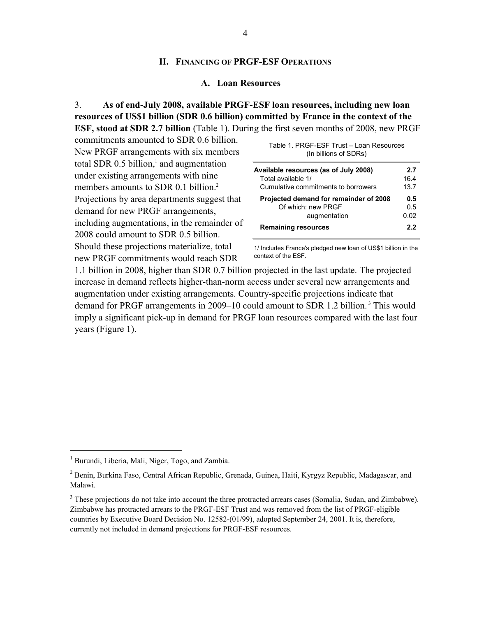#### **II. FINANCING OF PRGF-ESF OPERATIONS**

#### **A. Loan Resources**

3. **As of end-July 2008, available PRGF-ESF loan resources, including new loan resources of US\$1 billion (SDR 0.6 billion) committed by France in the context of the ESF, stood at SDR 2.7 billion** (Table 1). During the first seven months of 2008, new PRGF

commitments amounted to SDR 0.6 billion. New PRGF arrangements with six members total SDR  $0.5$  billion,<sup>1</sup> and augmentation under existing arrangements with nine members amounts to SDR 0.1 billion.<sup>2</sup> Projections by area departments suggest that demand for new PRGF arrangements, including augmentations, in the remainder of 2008 could amount to SDR 0.5 billion. Should these projections materialize, total new PRGF commitments would reach SDR

| Available resources (as of July 2008)  | 2.7  |
|----------------------------------------|------|
| Total available 1/                     | 16.4 |
| Cumulative commitments to borrowers    | 13.7 |
| Projected demand for remainder of 2008 | 0.5  |
| Of which: new PRGF                     | 0.5  |
| augmentation                           | 0.02 |
| <b>Remaining resources</b>             | 2.2  |

Table 1. PRGF-ESF Trust – Loan Resources (In billions of SDRs)

1/ Includes France's pledged new loan of US\$1 billion in the context of the ESF.

1.1 billion in 2008, higher than SDR 0.7 billion projected in the last update. The projected increase in demand reflects higher-than-norm access under several new arrangements and augmentation under existing arrangements. Country-specific projections indicate that demand for PRGF arrangements in 2009–10 could amount to SDR 1.2 billion.<sup>3</sup> This would imply a significant pick-up in demand for PRGF loan resources compared with the last four years (Figure 1).

1

<sup>&</sup>lt;sup>1</sup> Burundi, Liberia, Mali, Niger, Togo, and Zambia.

<sup>&</sup>lt;sup>2</sup> Benin, Burkina Faso, Central African Republic, Grenada, Guinea, Haiti, Kyrgyz Republic, Madagascar, and Malawi.

 $3$  These projections do not take into account the three protracted arrears cases (Somalia, Sudan, and Zimbabwe). Zimbabwe has protracted arrears to the PRGF-ESF Trust and was removed from the list of PRGF-eligible countries by Executive Board Decision No. 12582-(01/99), adopted September 24, 2001. It is, therefore, currently not included in demand projections for PRGF-ESF resources.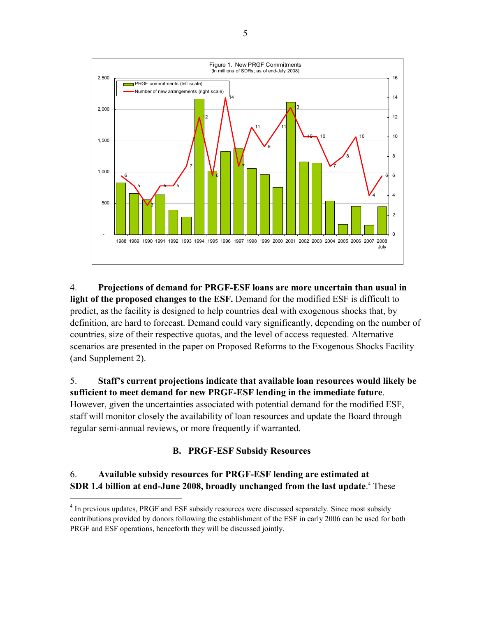

4. **Projections of demand for PRGF-ESF loans are more uncertain than usual in light of the proposed changes to the ESF.** Demand for the modified ESF is difficult to predict, as the facility is designed to help countries deal with exogenous shocks that, by definition, are hard to forecast. Demand could vary significantly, depending on the number of countries, size of their respective quotas, and the level of access requested. Alternative scenarios are presented in the paper on Proposed Reforms to the Exogenous Shocks Facility (and Supplement 2).

5. **Staff's current projections indicate that available loan resources would likely be sufficient to meet demand for new PRGF-ESF lending in the immediate future**. However, given the uncertainties associated with potential demand for the modified ESF, staff will monitor closely the availability of loan resources and update the Board through regular semi-annual reviews, or more frequently if warranted.

#### **B. PRGF-ESF Subsidy Resources**

## 6. **Available subsidy resources for PRGF-ESF lending are estimated at SDR 1.4 billion at end-June 2008, broadly unchanged from the last update.**<sup>4</sup> These

<sup>&</sup>lt;sup>4</sup> In previous updates, PRGF and ESF subsidy resources were discussed separately. Since most subsidy contributions provided by donors following the establishment of the ESF in early 2006 can be used for both PRGF and ESF operations, henceforth they will be discussed jointly.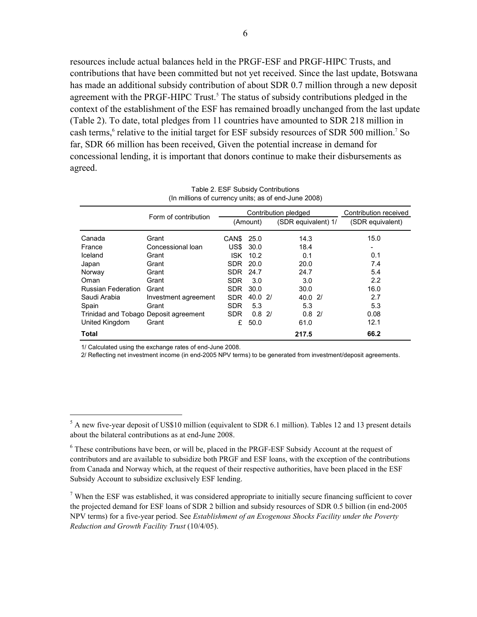resources include actual balances held in the PRGF-ESF and PRGF-HIPC Trusts, and contributions that have been committed but not yet received. Since the last update, Botswana has made an additional subsidy contribution of about SDR 0.7 million through a new deposit agreement with the PRGF-HIPC Trust.<sup>5</sup> The status of subsidy contributions pledged in the context of the establishment of the ESF has remained broadly unchanged from the last update (Table 2). To date, total pledges from 11 countries have amounted to SDR 218 million in cash terms,<sup>6</sup> relative to the initial target for ESF subsidy resources of SDR 500 million.<sup>7</sup> So far, SDR 66 million has been received, Given the potential increase in demand for concessional lending, it is important that donors continue to make their disbursements as agreed.

|                                       | Form of contribution | Contribution pledged |          |  | Contribution received |  |                  |
|---------------------------------------|----------------------|----------------------|----------|--|-----------------------|--|------------------|
|                                       |                      |                      | (Amount) |  | (SDR equivalent) 1/   |  | (SDR equivalent) |
| Canada                                | Grant                | CAN <sub>\$</sub>    | 25.0     |  | 14.3                  |  | 15.0             |
| France                                | Concessional loan    | US\$                 | 30.0     |  | 18.4                  |  |                  |
| Iceland                               | Grant                | <b>ISK</b>           | 10.2     |  | 0.1                   |  | 0.1              |
| Japan                                 | Grant                | SDR.                 | - 20.0   |  | 20.0                  |  | 7.4              |
| Norway                                | Grant                | <b>SDR</b>           | 24.7     |  | 24.7                  |  | 5.4              |
| Oman                                  | Grant                | <b>SDR</b>           | 3.0      |  | 3.0                   |  | 2.2              |
| <b>Russian Federation</b>             | Grant                | <b>SDR</b>           | 30.0     |  | 30.0                  |  | 16.0             |
| Saudi Arabia                          | Investment agreement | <b>SDR</b>           | 40.02    |  | 40.02                 |  | 2.7              |
| Spain                                 | Grant                | <b>SDR</b>           | 5.3      |  | 5.3                   |  | 5.3              |
| Trinidad and Tobago Deposit agreement |                      | <b>SDR</b>           | $0.8$ 2/ |  | $0.8$ 2/              |  | 0.08             |
| United Kingdom                        | Grant                | £                    | 50.0     |  | 61.0                  |  | 12.1             |
| Total                                 |                      |                      |          |  | 217.5                 |  | 66.2             |

Table 2. ESF Subsidy Contributions (In millions of currency units; as of end-June 2008)

1/ Calculated using the exchange rates of end-June 2008.

<u>.</u>

2/ Reflecting net investment income (in end-2005 NPV terms) to be generated from investment/deposit agreements.

 $<sup>7</sup>$  When the ESF was established, it was considered appropriate to initially secure financing sufficient to cover</sup> the projected demand for ESF loans of SDR 2 billion and subsidy resources of SDR 0.5 billion (in end-2005 NPV terms) for a five-year period. See *Establishment of an Exogenous Shocks Facility under the Poverty Reduction and Growth Facility Trust* (10/4/05).

 $<sup>5</sup>$  A new five-year deposit of US\$10 million (equivalent to SDR 6.1 million). Tables 12 and 13 present details</sup> about the bilateral contributions as at end-June 2008.

 $6$  These contributions have been, or will be, placed in the PRGF-ESF Subsidy Account at the request of contributors and are available to subsidize both PRGF and ESF loans, with the exception of the contributions from Canada and Norway which, at the request of their respective authorities, have been placed in the ESF Subsidy Account to subsidize exclusively ESF lending.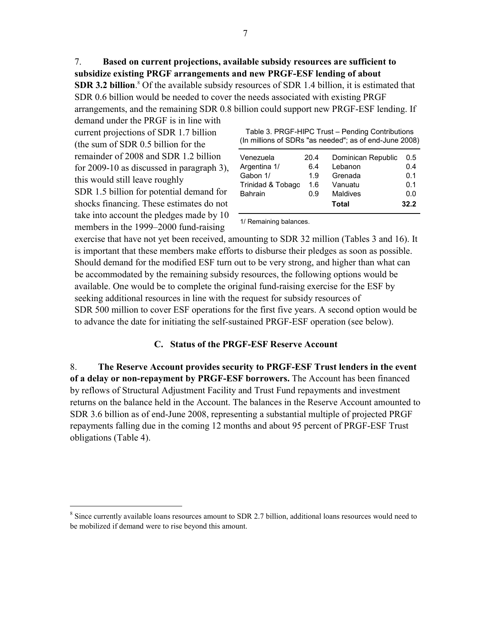7. **Based on current projections, available subsidy resources are sufficient to subsidize existing PRGF arrangements and new PRGF-ESF lending of about SDR 3.2 billion**.<sup>8</sup> Of the available subsidy resources of SDR 1.4 billion, it is estimated that SDR 0.6 billion would be needed to cover the needs associated with existing PRGF arrangements, and the remaining SDR 0.8 billion could support new PRGF-ESF lending. If

demand under the PRGF is in line with current projections of SDR 1.7 billion (the sum of SDR 0.5 billion for the remainder of 2008 and SDR 1.2 billion for 2009-10 as discussed in paragraph 3), this would still leave roughly SDR 1.5 billion for potential demand for shocks financing. These estimates do not take into account the pledges made by 10 members in the 1999–2000 fund-raising

1

| Table 3. PRGF-HIPC Trust – Pending Contributions       |  |
|--------------------------------------------------------|--|
| (In millions of SDRs "as needed"; as of end-June 2008) |  |

| Venezuela         | 20.4 | Dominican Republic | 0.5  |
|-------------------|------|--------------------|------|
| Argentina 1/      | 6.4  | Lebanon            | 0.4  |
| Gabon 1/          | 1.9  | Grenada            | 0.1  |
| Trinidad & Tobago | 1.6  | Vanuatu            | 0.1  |
| <b>Bahrain</b>    | 0.9  | <b>Maldives</b>    | 0.0  |
|                   |      | Total              | 32.2 |

1/ Remaining balances.

exercise that have not yet been received, amounting to SDR 32 million (Tables 3 and 16). It is important that these members make efforts to disburse their pledges as soon as possible. Should demand for the modified ESF turn out to be very strong, and higher than what can be accommodated by the remaining subsidy resources, the following options would be available. One would be to complete the original fund-raising exercise for the ESF by seeking additional resources in line with the request for subsidy resources of SDR 500 million to cover ESF operations for the first five years. A second option would be to advance the date for initiating the self-sustained PRGF-ESF operation (see below).

#### **C. Status of the PRGF-ESF Reserve Account**

8. **The Reserve Account provides security to PRGF-ESF Trust lenders in the event of a delay or non-repayment by PRGF-ESF borrowers.** The Account has been financed by reflows of Structural Adjustment Facility and Trust Fund repayments and investment returns on the balance held in the Account. The balances in the Reserve Account amounted to SDR 3.6 billion as of end-June 2008, representing a substantial multiple of projected PRGF repayments falling due in the coming 12 months and about 95 percent of PRGF-ESF Trust obligations (Table 4).

<sup>&</sup>lt;sup>8</sup> Since currently available loans resources amount to SDR 2.7 billion, additional loans resources would need to be mobilized if demand were to rise beyond this amount.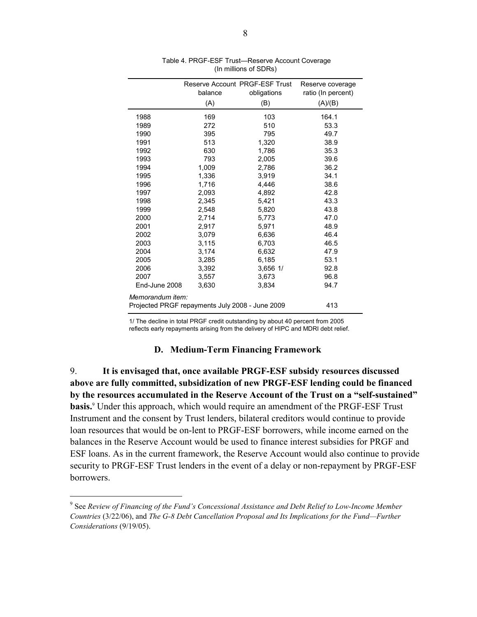|                                                 | Reserve Account PRGF-ESF Trust |              | Reserve coverage   |  |  |
|-------------------------------------------------|--------------------------------|--------------|--------------------|--|--|
|                                                 | balance                        | obligations  | ratio (In percent) |  |  |
|                                                 | (A)                            | (B)          | (A)/(B)            |  |  |
| 1988                                            | 169                            | 103          | 164.1              |  |  |
| 1989                                            | 272                            | 510          | 53.3               |  |  |
| 1990                                            | 395                            | 795          | 49.7               |  |  |
| 1991                                            | 513                            | 1,320        | 38.9               |  |  |
| 1992                                            | 630                            | 1,786        | 35.3               |  |  |
| 1993                                            | 793                            | 2,005        | 39.6               |  |  |
| 1994                                            | 1.009                          | 2,786        | 36.2               |  |  |
| 1995                                            | 1,336                          | 3.919        | 34.1               |  |  |
| 1996                                            | 1,716                          | 4,446        | 38.6               |  |  |
| 1997                                            | 2,093                          | 4,892        | 42.8               |  |  |
| 1998                                            | 2,345                          | 5,421        | 43.3               |  |  |
| 1999                                            | 2,548                          | 5,820        | 43.8               |  |  |
| 2000                                            | 2,714                          | 5,773        | 47.0               |  |  |
| 2001                                            | 2,917                          | 5,971        | 48.9               |  |  |
| 2002                                            | 3,079                          | 6,636        | 46.4               |  |  |
| 2003                                            | 3,115                          | 6,703        | 46.5               |  |  |
| 2004                                            | 3,174                          | 6,632        | 47.9               |  |  |
| 2005                                            | 3,285                          | 6,185        | 53.1               |  |  |
| 2006                                            | 3,392                          | $3,656$ $1/$ | 92.8               |  |  |
| 2007                                            | 3,557                          | 3,673        | 96.8               |  |  |
| End-June 2008                                   | 3,630                          | 3,834        | 94.7               |  |  |
| Memorandum item:                                |                                |              |                    |  |  |
| Projected PRGF repayments July 2008 - June 2009 | 413                            |              |                    |  |  |

 Table 4. PRGF-ESF Trust—Reserve Account Coverage (In millions of SDRs)

1/ The decline in total PRGF credit outstanding by about 40 percent from 2005

reflects early repayments arising from the delivery of HIPC and MDRI debt relief.

#### **D. Medium-Term Financing Framework**

9. **It is envisaged that, once available PRGF-ESF subsidy resources discussed above are fully committed, subsidization of new PRGF-ESF lending could be financed by the resources accumulated in the Reserve Account of the Trust on a "self-sustained" basis.**<sup>9</sup> Under this approach, which would require an amendment of the PRGF-ESF Trust Instrument and the consent by Trust lenders, bilateral creditors would continue to provide loan resources that would be on-lent to PRGF-ESF borrowers, while income earned on the balances in the Reserve Account would be used to finance interest subsidies for PRGF and ESF loans. As in the current framework, the Reserve Account would also continue to provide security to PRGF-ESF Trust lenders in the event of a delay or non-repayment by PRGF-ESF borrowers.

<sup>9</sup> See *Review of Financing of the Fund's Concessional Assistance and Debt Relief to Low-Income Member Countries* (3/22/06), and *The G-8 Debt Cancellation Proposal and Its Implications for the Fund—Further Considerations* (9/19/05).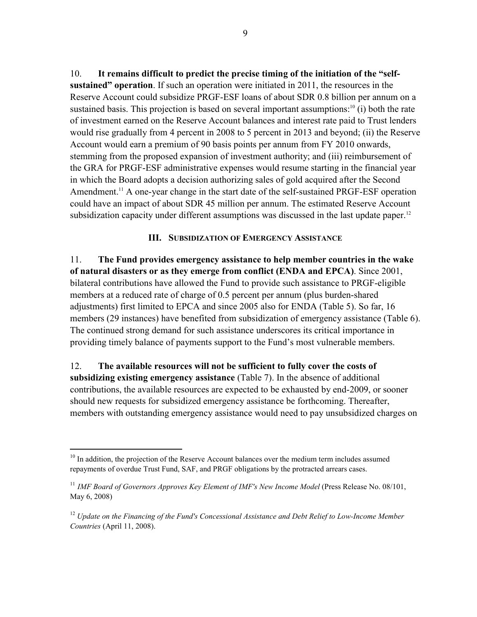10. **It remains difficult to predict the precise timing of the initiation of the "selfsustained" operation**. If such an operation were initiated in 2011, the resources in the Reserve Account could subsidize PRGF-ESF loans of about SDR 0.8 billion per annum on a sustained basis. This projection is based on several important assumptions:<sup>10</sup> (i) both the rate of investment earned on the Reserve Account balances and interest rate paid to Trust lenders would rise gradually from 4 percent in 2008 to 5 percent in 2013 and beyond; (ii) the Reserve Account would earn a premium of 90 basis points per annum from FY 2010 onwards, stemming from the proposed expansion of investment authority; and (iii) reimbursement of the GRA for PRGF-ESF administrative expenses would resume starting in the financial year in which the Board adopts a decision authorizing sales of gold acquired after the Second Amendment.<sup>11</sup> A one-year change in the start date of the self-sustained PRGF-ESF operation could have an impact of about SDR 45 million per annum. The estimated Reserve Account subsidization capacity under different assumptions was discussed in the last update paper.<sup>12</sup>

#### **III. SUBSIDIZATION OF EMERGENCY ASSISTANCE**

11. **The Fund provides emergency assistance to help member countries in the wake of natural disasters or as they emerge from conflict (ENDA and EPCA)**. Since 2001, bilateral contributions have allowed the Fund to provide such assistance to PRGF-eligible members at a reduced rate of charge of 0.5 percent per annum (plus burden-shared adjustments) first limited to EPCA and since 2005 also for ENDA (Table 5). So far, 16 members (29 instances) have benefited from subsidization of emergency assistance (Table 6). The continued strong demand for such assistance underscores its critical importance in providing timely balance of payments support to the Fund's most vulnerable members.

12. **The available resources will not be sufficient to fully cover the costs of subsidizing existing emergency assistance** (Table 7). In the absence of additional contributions, the available resources are expected to be exhausted by end-2009, or sooner should new requests for subsidized emergency assistance be forthcoming. Thereafter, members with outstanding emergency assistance would need to pay unsubsidized charges on

 $10$  In addition, the projection of the Reserve Account balances over the medium term includes assumed repayments of overdue Trust Fund, SAF, and PRGF obligations by the protracted arrears cases.

<sup>&</sup>lt;sup>11</sup> *IMF Board of Governors Approves Key Element of IMF's New Income Model* (Press Release No. 08/101, May 6, 2008)

<sup>12</sup> *Update on the Financing of the Fund's Concessional Assistance and Debt Relief to Low-Income Member Countries* (April 11, 2008).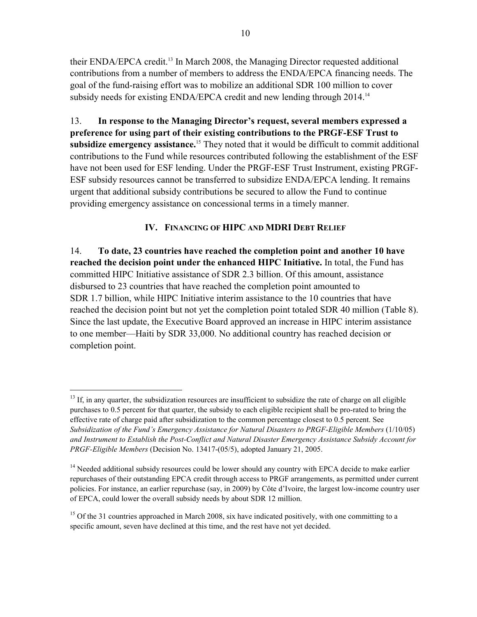their ENDA/EPCA credit.<sup>13</sup> In March 2008, the Managing Director requested additional contributions from a number of members to address the ENDA/EPCA financing needs. The goal of the fund-raising effort was to mobilize an additional SDR 100 million to cover subsidy needs for existing ENDA/EPCA credit and new lending through 2014.<sup>14</sup>

13. **In response to the Managing Director's request, several members expressed a preference for using part of their existing contributions to the PRGF-ESF Trust to subsidize emergency assistance.**15 They noted that it would be difficult to commit additional contributions to the Fund while resources contributed following the establishment of the ESF have not been used for ESF lending. Under the PRGF-ESF Trust Instrument, existing PRGF-ESF subsidy resources cannot be transferred to subsidize ENDA/EPCA lending. It remains urgent that additional subsidy contributions be secured to allow the Fund to continue providing emergency assistance on concessional terms in a timely manner.

### **IV. FINANCING OF HIPC AND MDRI DEBT RELIEF**

14. **To date, 23 countries have reached the completion point and another 10 have reached the decision point under the enhanced HIPC Initiative.** In total, the Fund has committed HIPC Initiative assistance of SDR 2.3 billion. Of this amount, assistance disbursed to 23 countries that have reached the completion point amounted to SDR 1.7 billion, while HIPC Initiative interim assistance to the 10 countries that have reached the decision point but not yet the completion point totaled SDR 40 million (Table 8). Since the last update, the Executive Board approved an increase in HIPC interim assistance to one member—Haiti by SDR 33,000. No additional country has reached decision or completion point.

 $13$  If, in any quarter, the subsidization resources are insufficient to subsidize the rate of charge on all eligible purchases to 0.5 percent for that quarter, the subsidy to each eligible recipient shall be pro-rated to bring the effective rate of charge paid after subsidization to the common percentage closest to 0.5 percent. See *Subsidization of the Fund's Emergency Assistance for Natural Disasters to PRGF-Eligible Members* (1/10/05) *and Instrument to Establish the Post-Conflict and Natural Disaster Emergency Assistance Subsidy Account for PRGF-Eligible Members* (Decision No. 13417-(05/5), adopted January 21, 2005.

<sup>&</sup>lt;sup>14</sup> Needed additional subsidy resources could be lower should any country with EPCA decide to make earlier repurchases of their outstanding EPCA credit through access to PRGF arrangements, as permitted under current policies. For instance, an earlier repurchase (say, in 2009) by Côte d'Ivoire, the largest low-income country user of EPCA, could lower the overall subsidy needs by about SDR 12 million.

<sup>&</sup>lt;sup>15</sup> Of the 31 countries approached in March 2008, six have indicated positively, with one committing to a specific amount, seven have declined at this time, and the rest have not yet decided.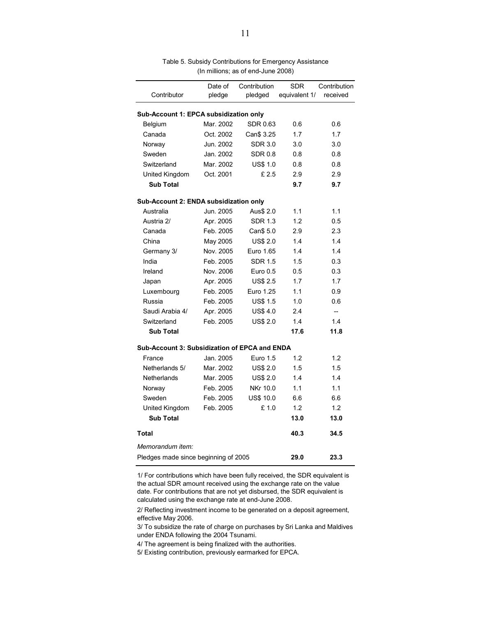|                                                      | Date of   | Contribution     | <b>SDR</b>    | Contribution |  |  |  |
|------------------------------------------------------|-----------|------------------|---------------|--------------|--|--|--|
| Contributor                                          | pledge    | pledged          | equivalent 1/ | received     |  |  |  |
|                                                      |           |                  |               |              |  |  |  |
| Sub-Account 1: EPCA subsidization only               |           |                  |               |              |  |  |  |
| Belgium                                              | Mar. 2002 | SDR 0.63         | 0.6           | 0.6          |  |  |  |
| Canada                                               | Oct. 2002 | Can\$ 3.25       | 1.7           | 1.7          |  |  |  |
| Norway                                               | Jun. 2002 | SDR 3.0          | 3.0           | 3.0          |  |  |  |
| Sweden                                               | Jan. 2002 | <b>SDR 0.8</b>   | 0.8           | 0.8          |  |  |  |
| Switzerland                                          | Mar. 2002 | <b>US\$ 1.0</b>  | 0.8           | 0.8          |  |  |  |
| United Kingdom                                       | Oct. 2001 | £2.5             | 2.9           | 2.9          |  |  |  |
| <b>Sub Total</b>                                     |           |                  | 9.7           | 9.7          |  |  |  |
| Sub-Account 2: ENDA subsidization only               |           |                  |               |              |  |  |  |
| Australia                                            | Jun. 2005 | Aus\$ 2.0        | 1.1           | 1.1          |  |  |  |
| Austria 2/                                           | Apr. 2005 | <b>SDR 1.3</b>   | 1.2           | 0.5          |  |  |  |
| Canada                                               | Feb. 2005 | Can\$ 5.0        | 2.9           | 2.3          |  |  |  |
| China                                                | May 2005  | <b>US\$ 2.0</b>  | 1.4           | 1.4          |  |  |  |
| Germany 3/                                           | Nov. 2005 | Euro 1.65        | 1.4           | 1.4          |  |  |  |
| India                                                | Feb. 2005 | <b>SDR 1.5</b>   | 1.5           | 0.3          |  |  |  |
| Ireland                                              | Nov. 2006 | Euro 0.5         | 0.5           | 0.3          |  |  |  |
| Japan                                                | Apr. 2005 | <b>US\$ 2.5</b>  | 1.7           | 1.7          |  |  |  |
| Luxembourg                                           | Feb. 2005 | Euro 1.25        | 1.1           | 0.9          |  |  |  |
| Russia                                               | Feb. 2005 | <b>US\$ 1.5</b>  | 1.0           | 0.6          |  |  |  |
| Saudi Arabia 4/                                      | Apr. 2005 | US\$4.0          | 24            | $-$          |  |  |  |
| Switzerland                                          | Feb. 2005 | <b>US\$ 2.0</b>  | 1.4           | 1.4          |  |  |  |
| <b>Sub Total</b>                                     |           |                  | 17.6          | 11.8         |  |  |  |
| <b>Sub-Account 3: Subsidization of EPCA and ENDA</b> |           |                  |               |              |  |  |  |
| France                                               | Jan. 2005 | Euro 1.5         | 1.2           | 1.2          |  |  |  |
| Netherlands 5/                                       | Mar. 2002 | <b>US\$ 2.0</b>  | 1.5           | 1.5          |  |  |  |
| Netherlands                                          | Mar. 2005 | <b>US\$ 2.0</b>  | 1.4           | 1.4          |  |  |  |
| Norway                                               | Feb. 2005 | NKr 10.0         | 1.1           | 1.1          |  |  |  |
| Sweden                                               | Feb. 2005 | <b>US\$ 10.0</b> | 6.6           | 6.6          |  |  |  |
| United Kingdom                                       | Feb. 2005 | £1.0             | 1.2           | 1.2          |  |  |  |
| <b>Sub Total</b>                                     |           |                  | 13.0          | 13.0         |  |  |  |
| Total                                                |           |                  | 40.3          | 34.5         |  |  |  |
| Memorandum item:                                     |           |                  |               |              |  |  |  |
| Pledges made since beginning of 2005                 | 29.0      | 23.3             |               |              |  |  |  |

Table 5. Subsidy Contributions for Emergency Assistance (In millions; as of end-June 2008)

1/ For contributions which have been fully received, the SDR equivalent is the actual SDR amount received using the exchange rate on the value date. For contributions that are not yet disbursed, the SDR equivalent is calculated using the exchange rate at end-June 2008.

2/ Reflecting investment income to be generated on a deposit agreement, effective May 2006.

3/ To subsidize the rate of charge on purchases by Sri Lanka and Maldives under ENDA following the 2004 Tsunami.

4/ The agreement is being finalized with the authorities.

5/ Existing contribution, previously earmarked for EPCA.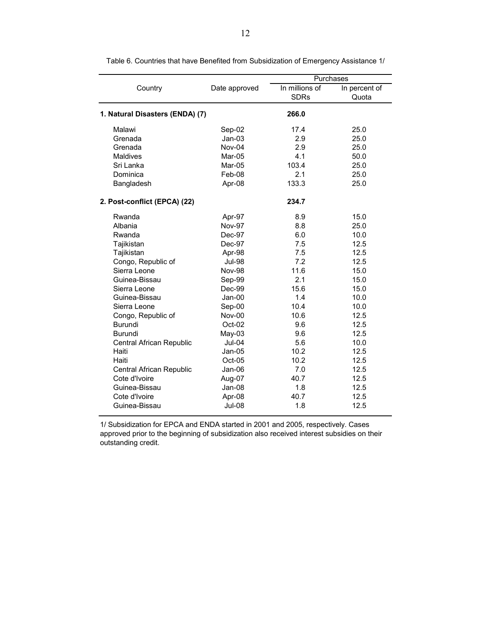|                                 |               |                               | Purchases              |  |  |
|---------------------------------|---------------|-------------------------------|------------------------|--|--|
| Country                         | Date approved | In millions of<br><b>SDRs</b> | In percent of<br>Quota |  |  |
| 1. Natural Disasters (ENDA) (7) |               | 266.0                         |                        |  |  |
| Malawi                          | Sep-02        | 17.4                          | 25.0                   |  |  |
| Grenada                         | $Jan-03$      | 2.9                           | 25.0                   |  |  |
| Grenada                         | Nov-04        | 2.9                           | 25.0                   |  |  |
| <b>Maldives</b>                 | Mar-05        | 4.1                           | 50.0                   |  |  |
| Sri Lanka                       | Mar-05        | 103.4                         | 25.0                   |  |  |
| Dominica                        | Feb-08        | 2.1                           | 25.0                   |  |  |
| Bangladesh                      | Apr-08        | 133.3                         | 25.0                   |  |  |
| 2. Post-conflict (EPCA) (22)    |               | 234.7                         |                        |  |  |
| Rwanda                          | Apr-97        | 8.9                           | 15.0                   |  |  |
| Albania                         | <b>Nov-97</b> | 8.8                           | 25.0                   |  |  |
| Rwanda                          | Dec-97        | 6.0                           | 10.0                   |  |  |
| Tajikistan                      | Dec-97        | 7.5                           | 12.5                   |  |  |
| Tajikistan                      | Apr-98        | 7.5                           | 12.5                   |  |  |
| Congo, Republic of              | <b>Jul-98</b> | 7.2                           | 12.5                   |  |  |
| Sierra Leone                    | <b>Nov-98</b> | 11.6                          | 15.0                   |  |  |
| Guinea-Bissau                   | Sep-99        | 2.1                           | 15.0                   |  |  |
| Sierra Leone                    | Dec-99        | 15.6                          | 15.0                   |  |  |
| Guinea-Bissau                   | $Jan-00$      | 1.4                           | 10.0                   |  |  |
| Sierra Leone                    | Sep-00        | 10.4                          | 10.0                   |  |  |
| Congo, Republic of              | Nov-00        | 10.6                          | 12.5                   |  |  |
| <b>Burundi</b>                  | Oct-02        | 9.6                           | 12.5                   |  |  |
| <b>Burundi</b>                  | $May-03$      | 9.6                           | 12.5                   |  |  |
| Central African Republic        | <b>Jul-04</b> | 5.6                           | 10.0                   |  |  |
| Haiti                           | Jan-05        | 10.2                          | 12.5                   |  |  |
| Haiti                           | $Oct-05$      | 10.2                          | 12.5                   |  |  |
| Central African Republic        | Jan-06        | 7.0                           | 12.5                   |  |  |
| Cote d'Ivoire                   | Aug-07        | 40.7                          | 12.5                   |  |  |
| Guinea-Bissau                   | Jan-08        | 1.8                           | 12.5                   |  |  |
| Cote d'Ivoire                   | Apr-08        | 40.7                          | 12.5                   |  |  |
| Guinea-Bissau                   | <b>Jul-08</b> | 1.8                           | 12.5                   |  |  |

Table 6. Countries that have Benefited from Subsidization of Emergency Assistance 1/

1/ Subsidization for EPCA and ENDA started in 2001 and 2005, respectively. Cases approved prior to the beginning of subsidization also received interest subsidies on their outstanding credit.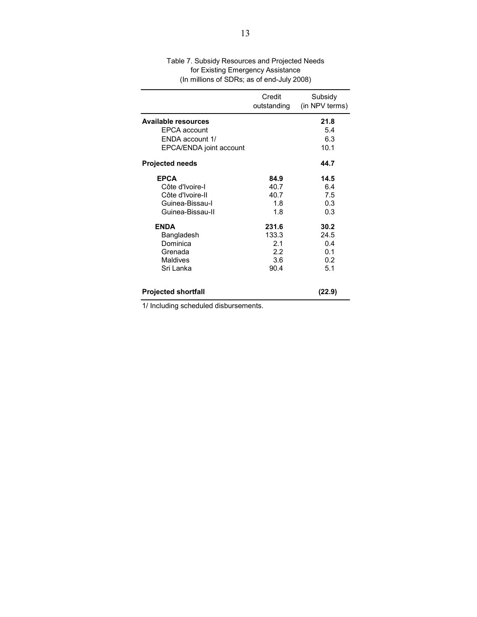|                            | Credit<br>outstanding | Subsidy<br>(in NPV terms) |
|----------------------------|-----------------------|---------------------------|
| <b>Available resources</b> |                       | 21.8                      |
| <b>EPCA</b> account        |                       | 5.4                       |
| ENDA account 1/            |                       | 6.3                       |
| EPCA/ENDA joint account    |                       | 10.1                      |
| <b>Projected needs</b>     |                       | 44.7                      |
| <b>EPCA</b>                | 84.9                  | 14.5                      |
| Côte d'Ivoire-I            | 40.7                  | 6.4                       |
| Côte d'Ivoire-II           | 40.7                  | 7.5                       |
| Guinea-Bissau-I            | 1.8                   | 0.3                       |
| Guinea-Bissau-II           | 1.8                   | 0.3                       |
| <b>ENDA</b>                | 231.6                 | 30.2                      |
| Bangladesh                 | 133.3                 | 24.5                      |
| Dominica                   | 2.1                   | 0.4                       |
| Grenada                    | 2.2                   | 0.1                       |
| <b>Maldives</b>            | 3.6                   | 0.2                       |
| Sri Lanka                  | 90.4                  | 5.1                       |
| <b>Projected shortfall</b> |                       | (22.9)                    |

(In millions of SDRs; as of end-July 2008) Table 7. Subsidy Resources and Projected Needs for Existing Emergency Assistance

1/ Including scheduled disbursements.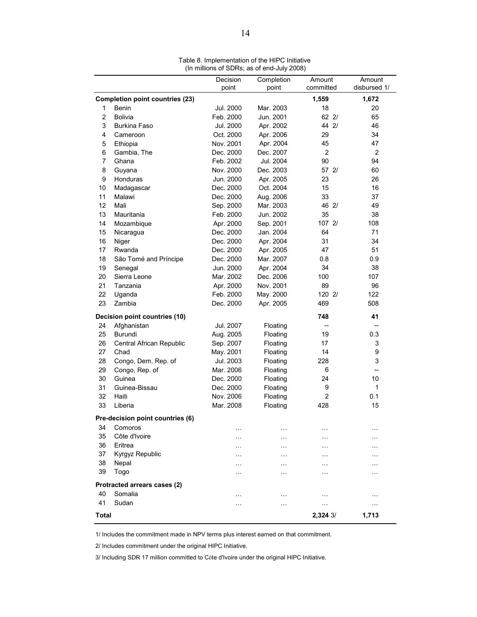|                |                                        | $\mu$ , $\mu$ , $\mu$ , $\mu$ , $\sigma$ , $\sigma$ , $\sigma$ , $\sigma$ , $\sigma$ , $\sigma$ , $\sigma$ , $\sigma$ , $\sigma$ , $\sigma$<br>Decision | Completion | Amount            | Amount            |
|----------------|----------------------------------------|---------------------------------------------------------------------------------------------------------------------------------------------------------|------------|-------------------|-------------------|
|                |                                        | point                                                                                                                                                   | point      | committed         | disbursed 1/      |
|                | <b>Completion point countries (23)</b> |                                                                                                                                                         |            | 1,559             | 1,672             |
| 1              | Benin                                  | Jul. 2000                                                                                                                                               | Mar. 2003  | 18                | 20                |
| $\overline{2}$ | <b>Bolivia</b>                         | Feb. 2000                                                                                                                                               | Jun. 2001  | 62 2/             | 65                |
| 3              | <b>Burkina Faso</b>                    | Jul. 2000                                                                                                                                               | Apr. 2002  | 44 2/             | 46                |
| 4              | Cameroon                               | Oct. 2000                                                                                                                                               | Apr. 2006  | 29                | 34                |
| 5              | Ethiopia                               | Nov. 2001                                                                                                                                               | Apr. 2004  | 45                | 47                |
| 6              | Gambia, The                            | Dec. 2000                                                                                                                                               | Dec. 2007  | $\overline{2}$    | 2                 |
| 7              | Ghana                                  | Feb. 2002                                                                                                                                               | Jul. 2004  | 90                | 94                |
| 8              | Guyana                                 | Nov. 2000                                                                                                                                               | Dec. 2003  | 57 2/             | 60                |
| 9              | Honduras                               | Jun. 2000                                                                                                                                               | Apr. 2005  | 23                | 26                |
| 10             | Madagascar                             | Dec. 2000                                                                                                                                               | Oct. 2004  | 15                | 16                |
| 11             | Malawi                                 | Dec. 2000                                                                                                                                               | Aug. 2006  | 33                | 37                |
| 12             | Mali                                   | Sep. 2000                                                                                                                                               | Mar. 2003  | 46 2/             | 49                |
| 13             | Mauritania                             | Feb. 2000                                                                                                                                               | Jun. 2002  | 35                | 38                |
| 14             | Mozambique                             | Apr. 2000                                                                                                                                               | Sep. 2001  | 107 2/            | 108               |
| 15             | Nicaragua                              | Dec. 2000                                                                                                                                               | Jan. 2004  | 64                | 71                |
| 16             | Niger                                  | Dec. 2000                                                                                                                                               | Apr. 2004  | 31                | 34                |
| 17             | Rwanda                                 | Dec. 2000                                                                                                                                               | Apr. 2005  | 47                | 51                |
| 18             | São Tomé and Príncipe                  | Dec. 2000                                                                                                                                               | Mar. 2007  | 0.8               | 0.9               |
| 19             | Senegal                                | Jun. 2000                                                                                                                                               | Apr. 2004  | 34                | 38                |
| 20             | Sierra Leone                           | Mar. 2002                                                                                                                                               | Dec. 2006  | 100               | 107               |
| 21             | Tanzania                               | Apr. 2000                                                                                                                                               | Nov. 2001  | 89                | 96                |
| 22             | Uganda                                 | Feb. 2000                                                                                                                                               | May. 2000  | 120 2/            | 122               |
| 23             | Zambia                                 | Dec. 2000                                                                                                                                               | Apr. 2005  | 469               | 508               |
|                | Decision point countries (10)          |                                                                                                                                                         |            | 748               | 41                |
| 24             | Afghanistan                            | Jul. 2007                                                                                                                                               | Floating   | $\qquad \qquad -$ | $\qquad \qquad -$ |
| 25             | Burundi                                | Aug. 2005                                                                                                                                               | Floating   | 19                | 0.3               |
| 26             | Central African Republic               | Sep. 2007                                                                                                                                               | Floating   | 17                | 3                 |
| 27             | Chad                                   | May. 2001                                                                                                                                               | Floating   | 14                | 9                 |
| 28             | Congo, Dem. Rep. of                    | Jul. 2003                                                                                                                                               | Floating   | 228               | 3                 |
| 29             | Congo, Rep. of                         | Mar. 2006                                                                                                                                               | Floating   | 6                 | $\qquad \qquad -$ |
| 30             | Guinea                                 | Dec. 2000                                                                                                                                               | Floating   | 24                | 10                |
| 31             | Guinea-Bissau                          | Dec. 2000                                                                                                                                               | Floating   | 9                 | 1                 |
| 32             | Haiti                                  | Nov. 2006                                                                                                                                               | Floating   | $\overline{c}$    | 0.1               |
| 33             | Liberia                                | Mar. 2008                                                                                                                                               | Floating   | 428               | 15                |
|                | Pre-decision point countries (6)       |                                                                                                                                                         |            |                   |                   |
| 34             | Comoros                                | $\cdots$                                                                                                                                                | $\cdots$   | $\cdots$          |                   |
| 35             | Côte d'Ivoire                          | $\cdots$                                                                                                                                                | .          | $\sim$ $\sim$     |                   |
| 36             | Eritrea                                | $\cdot$                                                                                                                                                 | .          | $\cdots$          | $\cdot$           |
| 37             | Kyrgyz Republic                        | $\cdots$                                                                                                                                                | .          | $\cdots$          | $\cdots$          |
| 38             | Nepal                                  |                                                                                                                                                         |            |                   |                   |
| 39             | Togo                                   | .                                                                                                                                                       | .          | $\sim$ $\sim$     | $\cdots$          |
|                | Protracted arrears cases (2)           |                                                                                                                                                         |            |                   |                   |
| 40             | Somalia                                | $\cdots$                                                                                                                                                | $\cdots$   | $\sim$ $\sim$     | $\cdots$          |
| 41             | Sudan                                  | $\sim$ $\sim$                                                                                                                                           | .          | $\cdots$          | $\cdots$          |
| Total          |                                        |                                                                                                                                                         |            | $2,324$ 3/        | 1,713             |

Table 8. Implementation of the HIPC Initiative (In millions of SDRs; as of end-July 2008)

1/ Includes the commitment made in NPV terms plus interest earned on that commitment.

2/ Includes commitment under the original HIPC Initiative.

3/ Including SDR 17 million committed to Côte d'Ivoire under the original HIPC Initiative.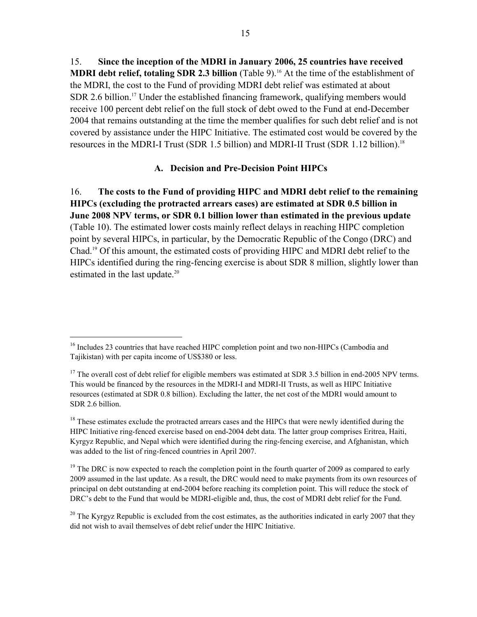15. **Since the inception of the MDRI in January 2006, 25 countries have received MDRI debt relief, totaling SDR 2.3 billion** (Table 9).<sup>16</sup> At the time of the establishment of the MDRI, the cost to the Fund of providing MDRI debt relief was estimated at about SDR 2.6 billion.<sup>17</sup> Under the established financing framework, qualifying members would receive 100 percent debt relief on the full stock of debt owed to the Fund at end-December 2004 that remains outstanding at the time the member qualifies for such debt relief and is not covered by assistance under the HIPC Initiative. The estimated cost would be covered by the resources in the MDRI-I Trust (SDR 1.5 billion) and MDRI-II Trust (SDR 1.12 billion).18

#### **A. Decision and Pre-Decision Point HIPCs**

16. **The costs to the Fund of providing HIPC and MDRI debt relief to the remaining HIPCs (excluding the protracted arrears cases) are estimated at SDR 0.5 billion in June 2008 NPV terms, or SDR 0.1 billion lower than estimated in the previous update** (Table 10). The estimated lower costs mainly reflect delays in reaching HIPC completion point by several HIPCs, in particular, by the Democratic Republic of the Congo (DRC) and Chad.19 Of this amount, the estimated costs of providing HIPC and MDRI debt relief to the HIPCs identified during the ring-fencing exercise is about SDR 8 million, slightly lower than estimated in the last update.<sup>20</sup>

1

<sup>&</sup>lt;sup>16</sup> Includes 23 countries that have reached HIPC completion point and two non-HIPCs (Cambodia and Tajikistan) with per capita income of US\$380 or less.

<sup>&</sup>lt;sup>17</sup> The overall cost of debt relief for eligible members was estimated at SDR 3.5 billion in end-2005 NPV terms. This would be financed by the resources in the MDRI-I and MDRI-II Trusts, as well as HIPC Initiative resources (estimated at SDR 0.8 billion). Excluding the latter, the net cost of the MDRI would amount to SDR 2.6 billion.

<sup>&</sup>lt;sup>18</sup> These estimates exclude the protracted arrears cases and the HIPCs that were newly identified during the HIPC Initiative ring-fenced exercise based on end-2004 debt data. The latter group comprises Eritrea, Haiti, Kyrgyz Republic, and Nepal which were identified during the ring-fencing exercise, and Afghanistan, which was added to the list of ring-fenced countries in April 2007.

 $19$  The DRC is now expected to reach the completion point in the fourth quarter of 2009 as compared to early 2009 assumed in the last update. As a result, the DRC would need to make payments from its own resources of principal on debt outstanding at end-2004 before reaching its completion point. This will reduce the stock of DRC's debt to the Fund that would be MDRI-eligible and, thus, the cost of MDRI debt relief for the Fund.

<sup>&</sup>lt;sup>20</sup> The Kyrgyz Republic is excluded from the cost estimates, as the authorities indicated in early 2007 that they did not wish to avail themselves of debt relief under the HIPC Initiative.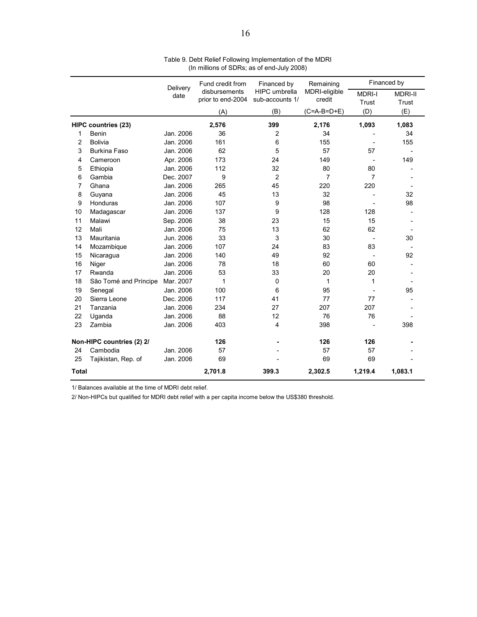|              |                            | Delivery  | Fund credit from  | Financed by          | Remaining      |               | Financed by    |
|--------------|----------------------------|-----------|-------------------|----------------------|----------------|---------------|----------------|
|              |                            | date      | disbursements     | <b>HIPC</b> umbrella | MDRI-eligible  | <b>MDRI-I</b> | <b>MDRI-II</b> |
|              |                            |           | prior to end-2004 | sub-accounts 1/      | credit         | Trust         | Trust          |
|              |                            |           | (A)               | (B)                  | $(C=A-B=D+E)$  | (D)           | (E)            |
|              | <b>HIPC countries (23)</b> |           | 2,576             | 399                  | 2,176          | 1,093         | 1,083          |
| 1            | Benin                      | Jan. 2006 | 36                | 2                    | 34             |               | 34             |
| 2            | <b>Bolivia</b>             | Jan. 2006 | 161               | 6                    | 155            |               | 155            |
| 3            | <b>Burkina Faso</b>        | Jan. 2006 | 62                | 5                    | 57             | 57            |                |
| 4            | Cameroon                   | Apr. 2006 | 173               | 24                   | 149            |               | 149            |
| 5            | Ethiopia                   | Jan. 2006 | 112               | 32                   | 80             | 80            |                |
| 6            | Gambia                     | Dec. 2007 | 9                 | $\overline{2}$       | $\overline{7}$ | 7             |                |
| 7            | Ghana                      | Jan. 2006 | 265               | 45                   | 220            | 220           |                |
| 8            | Guyana                     | Jan. 2006 | 45                | 13                   | 32             |               | 32             |
| 9            | Honduras                   | Jan. 2006 | 107               | 9                    | 98             |               | 98             |
| 10           | Madagascar                 | Jan. 2006 | 137               | 9                    | 128            | 128           |                |
| 11           | Malawi                     | Sep. 2006 | 38                | 23                   | 15             | 15            |                |
| 12           | Mali                       | Jan. 2006 | 75                | 13                   | 62             | 62            |                |
| 13           | Mauritania                 | Jun. 2006 | 33                | 3                    | 30             |               | 30             |
| 14           | Mozambique                 | Jan. 2006 | 107               | 24                   | 83             | 83            |                |
| 15           | Nicaragua                  | Jan. 2006 | 140               | 49                   | 92             |               | 92             |
| 16           | Niger                      | Jan. 2006 | 78                | 18                   | 60             | 60            |                |
| 17           | Rwanda                     | Jan. 2006 | 53                | 33                   | 20             | 20            |                |
| 18           | São Tomé and Príncipe      | Mar. 2007 | 1                 | 0                    | 1              | 1             |                |
| 19           | Senegal                    | Jan. 2006 | 100               | 6                    | 95             |               | 95             |
| 20           | Sierra Leone               | Dec. 2006 | 117               | 41                   | 77             | 77            |                |
| 21           | Tanzania                   | Jan. 2006 | 234               | 27                   | 207            | 207           |                |
| 22           | Uganda                     | Jan. 2006 | 88                | 12                   | 76             | 76            |                |
| 23           | Zambia                     | Jan. 2006 | 403               | 4                    | 398            |               | 398            |
|              | Non-HIPC countries (2) 2/  |           | 126               |                      | 126            | 126           |                |
| 24           | Cambodia                   | Jan. 2006 | 57                |                      | 57             | 57            |                |
| 25           | Tajikistan, Rep. of        | Jan. 2006 | 69                |                      | 69             | 69            |                |
| <b>Total</b> |                            |           | 2,701.8           | 399.3                | 2,302.5        | 1,219.4       | 1,083.1        |

Table 9. Debt Relief Following Implementation of the MDRI (In millions of SDRs; as of end-July 2008)

1/ Balances available at the time of MDRI debt relief.

2/ Non-HIPCs but qualified for MDRI debt relief with a per capita income below the US\$380 threshold.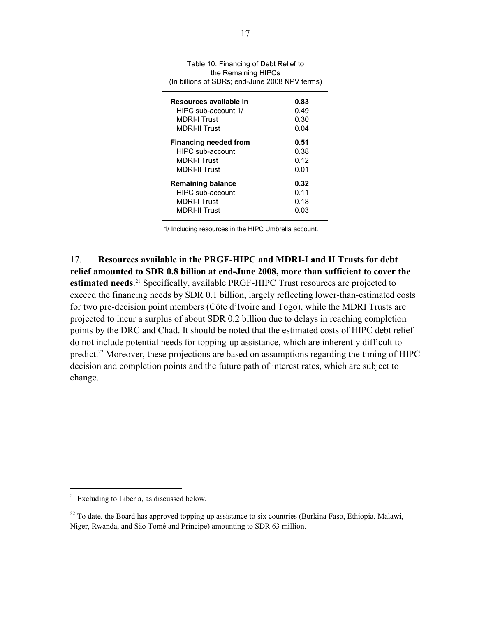| Table 10. Financing of Debt Relief to<br>the Remaining HIPCs<br>(In billions of SDRs; end-June 2008 NPV terms) |              |  |  |  |  |  |
|----------------------------------------------------------------------------------------------------------------|--------------|--|--|--|--|--|
| Resources available in                                                                                         | 0.83         |  |  |  |  |  |
| HIPC sub-account 1/                                                                                            | 0.49         |  |  |  |  |  |
| <b>MDRI-I Trust</b>                                                                                            | 0.30         |  |  |  |  |  |
| MDRI-II Trust                                                                                                  | 0.04         |  |  |  |  |  |
| <b>Financing needed from</b><br>HIPC sub-account                                                               | 0.51<br>0.38 |  |  |  |  |  |
| <b>MDRI-I Trust</b>                                                                                            | 0.12         |  |  |  |  |  |
| <b>MDRI-II Trust</b>                                                                                           | 0.01         |  |  |  |  |  |
| <b>Remaining balance</b>                                                                                       | 0.32         |  |  |  |  |  |
| HIPC sub-account                                                                                               | 0.11         |  |  |  |  |  |
| <b>MDRI-I Trust</b>                                                                                            | 0.18         |  |  |  |  |  |
| MDRI-II Trust                                                                                                  | 0.03         |  |  |  |  |  |
|                                                                                                                |              |  |  |  |  |  |

1/ Including resources in the HIPC Umbrella account.

17. **Resources available in the PRGF-HIPC and MDRI-I and II Trusts for debt relief amounted to SDR 0.8 billion at end-June 2008, more than sufficient to cover the**  estimated needs.<sup>21</sup> Specifically, available PRGF-HIPC Trust resources are projected to exceed the financing needs by SDR 0.1 billion, largely reflecting lower-than-estimated costs for two pre-decision point members (Côte d'Ivoire and Togo), while the MDRI Trusts are projected to incur a surplus of about SDR 0.2 billion due to delays in reaching completion points by the DRC and Chad. It should be noted that the estimated costs of HIPC debt relief do not include potential needs for topping-up assistance, which are inherently difficult to predict.<sup>22</sup> Moreover, these projections are based on assumptions regarding the timing of HIPC decision and completion points and the future path of interest rates, which are subject to change.

 $21$  Excluding to Liberia, as discussed below.

 $22$  To date, the Board has approved topping-up assistance to six countries (Burkina Faso, Ethiopia, Malawi, Niger, Rwanda, and São Tomé and Príncipe) amounting to SDR 63 million.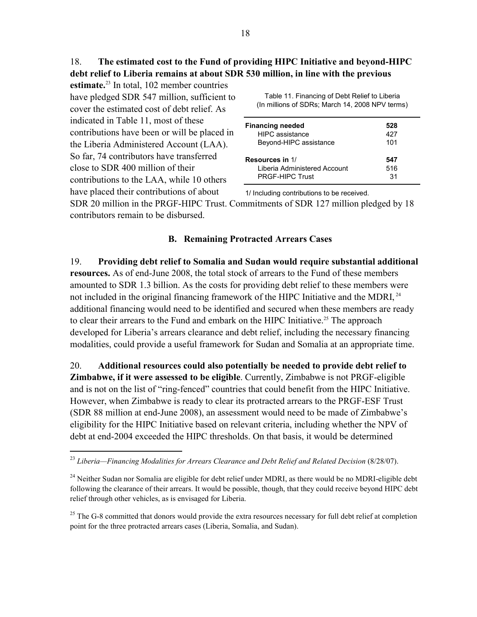# 18. **The estimated cost to the Fund of providing HIPC Initiative and beyond-HIPC debt relief to Liberia remains at about SDR 530 million, in line with the previous**

**estimate.**23 In total, 102 member countries have pledged SDR 547 million, sufficient to cover the estimated cost of debt relief. As indicated in Table 11, most of these contributions have been or will be placed in the Liberia Administered Account (LAA). So far, 74 contributors have transferred close to SDR 400 million of their contributions to the LAA, while 10 others have placed their contributions of about

 $\overline{a}$ 

Table 11. Financing of Debt Relief to Liberia (In millions of SDRs; March 14, 2008 NPV terms)

| <b>Financing needed</b>      | 528 |
|------------------------------|-----|
| <b>HIPC</b> assistance       | 427 |
| Beyond-HIPC assistance       | 101 |
| Resources in 1/              | 547 |
| Liberia Administered Account | 516 |
| <b>PRGF-HIPC Trust</b>       | 31  |

1/ Including contributions to be received.

SDR 20 million in the PRGF-HIPC Trust. Commitments of SDR 127 million pledged by 18 contributors remain to be disbursed.

#### **B. Remaining Protracted Arrears Cases**

19. **Providing debt relief to Somalia and Sudan would require substantial additional resources.** As of end-June 2008, the total stock of arrears to the Fund of these members amounted to SDR 1.3 billion. As the costs for providing debt relief to these members were not included in the original financing framework of the HIPC Initiative and the MDRI, <sup>24</sup> additional financing would need to be identified and secured when these members are ready to clear their arrears to the Fund and embark on the HIPC Initiative.<sup>25</sup> The approach developed for Liberia's arrears clearance and debt relief, including the necessary financing modalities, could provide a useful framework for Sudan and Somalia at an appropriate time.

20. **Additional resources could also potentially be needed to provide debt relief to Zimbabwe, if it were assessed to be eligible**. Currently, Zimbabwe is not PRGF-eligible and is not on the list of "ring-fenced" countries that could benefit from the HIPC Initiative. However, when Zimbabwe is ready to clear its protracted arrears to the PRGF-ESF Trust (SDR 88 million at end-June 2008), an assessment would need to be made of Zimbabwe's eligibility for the HIPC Initiative based on relevant criteria, including whether the NPV of debt at end-2004 exceeded the HIPC thresholds. On that basis, it would be determined

 $^{25}$  The G-8 committed that donors would provide the extra resources necessary for full debt relief at completion point for the three protracted arrears cases (Liberia, Somalia, and Sudan).

<sup>&</sup>lt;sup>23</sup> Liberia—Financing Modalities for Arrears Clearance and Debt Relief and Related Decision (8/28/07).

<sup>&</sup>lt;sup>24</sup> Neither Sudan nor Somalia are eligible for debt relief under MDRI, as there would be no MDRI-eligible debt following the clearance of their arrears. It would be possible, though, that they could receive beyond HIPC debt relief through other vehicles, as is envisaged for Liberia.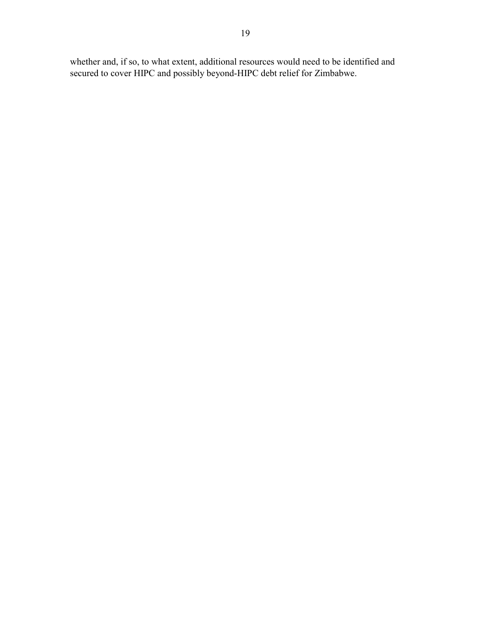whether and, if so, to what extent, additional resources would need to be identified and secured to cover HIPC and possibly beyond-HIPC debt relief for Zimbabwe.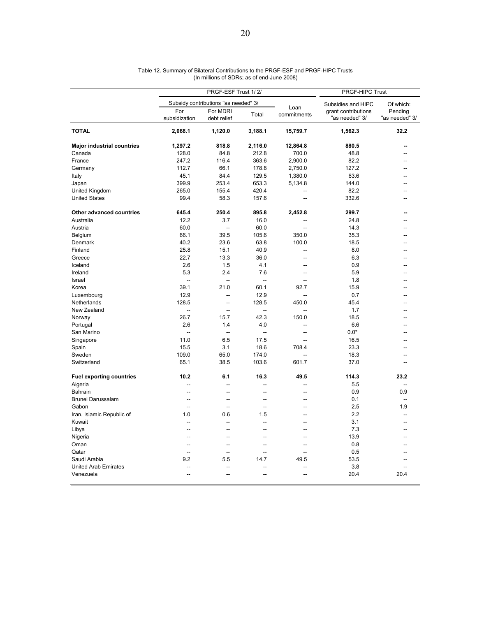|                                   | PRGF-ESF Trust 1/2/  |                                      |                          | PRGF-HIPC Trust          |                                       |                           |
|-----------------------------------|----------------------|--------------------------------------|--------------------------|--------------------------|---------------------------------------|---------------------------|
|                                   |                      | Subsidy contributions "as needed" 3/ |                          |                          | Subsidies and HIPC                    | Of which:                 |
|                                   | For<br>subsidization | For MDRI<br>debt relief              | Total                    | Loan<br>commitments      | grant contributions<br>"as needed" 3/ | Pending<br>"as needed" 3/ |
| <b>TOTAL</b>                      | 2,068.1              | 1,120.0                              | 3,188.1                  | 15,759.7                 | 1,562.3                               | 32.2                      |
| <b>Major industrial countries</b> | 1,297.2              | 818.8                                | 2,116.0                  | 12,864.8                 | 880.5                                 |                           |
| Canada                            | 128.0                | 84.8                                 | 212.8                    | 700.0                    | 48.8                                  |                           |
| France                            | 247.2                | 116.4                                | 363.6                    | 2,900.0                  | 82.2                                  | $\overline{a}$            |
| Germany                           | 112.7                | 66.1                                 | 178.8                    | 2,750.0                  | 127.2                                 | --                        |
| Italy                             | 45.1                 | 84.4                                 | 129.5                    | 1,380.0                  | 63.6                                  |                           |
| Japan                             | 399.9                | 253.4                                | 653.3                    | 5,134.8                  | 144.0                                 |                           |
| United Kingdom                    | 265.0                | 155.4                                | 420.4                    | $\overline{a}$           | 82.2                                  |                           |
| <b>United States</b>              | 99.4                 | 58.3                                 | 157.6                    | $\overline{a}$           | 332.6                                 |                           |
| Other advanced countries          | 645.4                | 250.4                                | 895.8                    | 2,452.8                  | 299.7                                 |                           |
| Australia                         | 12.2                 | 3.7                                  | 16.0                     | $\sim$                   | 24.8                                  |                           |
| Austria                           | 60.0                 | $\overline{a}$                       | 60.0                     | $\sim$                   | 14.3                                  |                           |
| Belgium                           | 66.1                 | 39.5                                 | 105.6                    | 350.0                    | 35.3                                  | --                        |
| Denmark                           | 40.2                 | 23.6                                 | 63.8                     | 100.0                    | 18.5                                  |                           |
| Finland                           | 25.8                 | 15.1                                 | 40.9                     | $\sim$                   | 8.0                                   |                           |
| Greece                            | 22.7                 | 13.3                                 | 36.0                     | $\overline{a}$           | 6.3                                   | --                        |
| Iceland                           | 2.6                  | 1.5                                  | 4.1                      | ц.                       | 0.9                                   |                           |
| Ireland                           | 5.3                  | 2.4                                  | 7.6                      | $\overline{a}$           | 5.9                                   | --                        |
| Israel                            | $\overline{a}$       | $\overline{a}$                       | $\overline{\phantom{a}}$ | --                       | 1.8                                   |                           |
| Korea                             | 39.1                 | 21.0                                 | 60.1                     | 92.7                     | 15.9                                  |                           |
|                                   | 12.9                 | Ξ.                                   | 12.9                     | $\overline{a}$           | 0.7                                   |                           |
| Luxembourg<br>Netherlands         | 128.5                | Ξ.                                   | 128.5                    | 450.0                    | 45.4                                  |                           |
| New Zealand                       | $\overline{a}$       |                                      |                          | $\sim$                   | 1.7                                   | ۵.                        |
|                                   | 26.7                 | $\overline{\phantom{a}}$<br>15.7     | --<br>42.3               | 150.0                    | 18.5                                  |                           |
| Norway                            |                      |                                      |                          |                          |                                       |                           |
| Portugal                          | 2.6                  | 1.4                                  | 4.0                      | $\overline{a}$           | 6.6                                   |                           |
| San Marino                        | $\overline{a}$       | $\overline{\phantom{a}}$             | $\overline{\phantom{a}}$ | $\sim$                   | $0.0*$                                | $\sim$                    |
| Singapore                         | 11.0                 | 6.5                                  | 17.5                     | $\overline{a}$           | 16.5                                  |                           |
| Spain                             | 15.5                 | 3.1                                  | 18.6                     | 708.4                    | 23.3                                  |                           |
| Sweden                            | 109.0                | 65.0                                 | 174.0                    | $\overline{a}$           | 18.3                                  | --                        |
| Switzerland                       | 65.1                 | 38.5                                 | 103.6                    | 601.7                    | 37.0                                  |                           |
| <b>Fuel exporting countries</b>   | 10.2                 | 6.1                                  | 16.3                     | 49.5                     | 114.3                                 | 23.2                      |
| Algeria                           | -−                   | Ξ.                                   | ц.                       |                          | 5.5                                   | Ξ.                        |
| Bahrain                           | $\overline{a}$       | $\overline{a}$                       | $\overline{a}$           | $\overline{\phantom{a}}$ | 0.9                                   | 0.9                       |
| Brunei Darussalam                 | --                   | $\overline{a}$                       | $\overline{a}$           | $\overline{\phantom{a}}$ | 0.1                                   |                           |
| Gabon                             | $\overline{a}$       | μ.                                   | Ξ.                       | $\overline{a}$           | 2.5                                   | 1.9                       |
| Iran, Islamic Republic of         | 1.0                  | 0.6                                  | 1.5                      | $\sim$                   | 2.2                                   |                           |
| Kuwait                            | $\overline{a}$       | $\overline{\phantom{a}}$             | ÷.                       | $\overline{a}$           | 3.1                                   |                           |
| Libya                             | $\overline{a}$       | Ξ.                                   | Ξ.                       | $\overline{a}$           | 7.3                                   | --                        |
| Nigeria                           | --                   | -−                                   | --                       | $\overline{\phantom{a}}$ | 13.9                                  | --                        |
| Oman                              | --                   | --                                   | --                       | --                       | 0.8                                   |                           |
| Qatar                             | $\overline{a}$       | ÷.                                   | ÷.                       | $\sim$                   | 0.5                                   |                           |
| Saudi Arabia                      | 9.2                  | 5.5                                  | 14.7                     | 49.5                     | 53.5                                  |                           |
| <b>United Arab Emirates</b>       |                      |                                      |                          |                          | 3.8                                   |                           |
| Venezuela                         | $\overline{a}$       | $\overline{a}$                       | $\overline{a}$           | $\overline{\phantom{a}}$ | 20.4                                  | 20.4                      |

| Table 12. Summary of Bilateral Contributions to the PRGF-ESF and PRGF-HIPC Trusts |
|-----------------------------------------------------------------------------------|
| (In millions of SDRs; as of end-June 2008)                                        |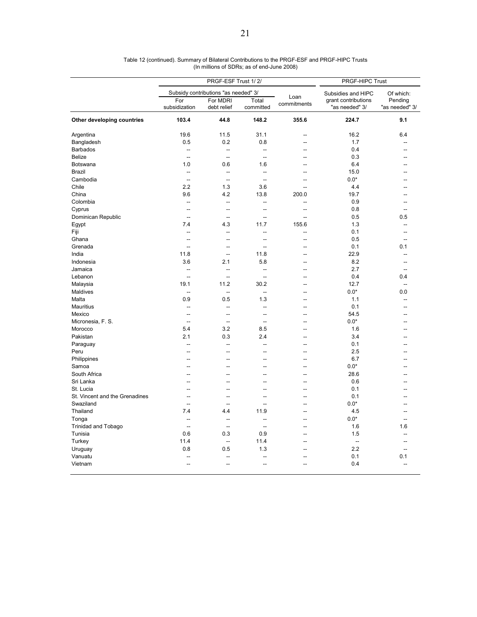|                                | PRGF-ESF Trust 1/2/      |                                      | PRGF-HIPC Trust          |                     |                                       |                           |  |
|--------------------------------|--------------------------|--------------------------------------|--------------------------|---------------------|---------------------------------------|---------------------------|--|
|                                |                          | Subsidy contributions "as needed" 3/ |                          |                     | Subsidies and HIPC                    | Of which:                 |  |
|                                | For<br>subsidization     | For MDRI<br>debt relief              | Total<br>committed       | Loan<br>commitments | grant contributions<br>"as needed" 3/ | Pending<br>"as needed" 3/ |  |
| Other developing countries     | 103.4                    | 44.8                                 | 148.2                    | 355.6               | 224.7                                 | 9.1                       |  |
| Argentina                      | 19.6                     | 11.5                                 | 31.1                     | ۵.                  | 16.2                                  | 6.4                       |  |
| Bangladesh                     | 0.5                      | 0.2                                  | 0.8                      | --                  | 1.7                                   |                           |  |
| <b>Barbados</b>                | --                       | --                                   | Ξ.                       |                     | 0.4                                   |                           |  |
| <b>Belize</b>                  | $\sim$                   | $\sim$                               | $\overline{\phantom{a}}$ | $-$                 | 0.3                                   |                           |  |
| <b>Botswana</b>                | 1.0                      | 0.6                                  | 1.6                      |                     | 6.4                                   |                           |  |
| <b>Brazil</b>                  | Ξ.                       | Ξ.                                   | Ξ.                       | $\sim$              | 15.0                                  |                           |  |
| Cambodia                       | $\overline{a}$           | $\overline{\phantom{a}}$             | $\overline{\phantom{a}}$ | Ξ.                  | $0.0*$                                |                           |  |
| Chile                          | 2.2                      | 1.3                                  | 3.6                      |                     | 4.4                                   |                           |  |
| China                          | 9.6                      | 4.2                                  | 13.8                     | 200.0               | 19.7                                  |                           |  |
| Colombia                       | $\sim$                   | $\sim$                               | L.                       | $\overline{a}$      | 0.9                                   |                           |  |
| Cyprus                         | Ξ.                       | -−                                   | Ξ.                       | --                  | 0.8                                   |                           |  |
| Dominican Republic             | $\overline{a}$           | $\overline{a}$                       | $\overline{a}$           | $\overline{a}$      | 0.5                                   | 0.5                       |  |
| Egypt                          | 7.4                      | 4.3                                  | 11.7                     | 155.6               | 1.3                                   |                           |  |
| Fiji                           | $\overline{a}$           | Ξ.                                   | ÷.                       | $\overline{a}$      | 0.1                                   |                           |  |
| Ghana                          | $\overline{a}$           | $\overline{a}$                       | $\overline{a}$           | $\overline{a}$      | 0.5                                   |                           |  |
| Grenada                        | $\overline{\phantom{a}}$ | $\overline{a}$                       | ÷.                       | --                  | 0.1                                   | 0.1                       |  |
| India                          | 11.8                     | $\overline{a}$                       | 11.8                     | $\overline{a}$      | 22.9                                  | --                        |  |
|                                |                          |                                      |                          |                     |                                       |                           |  |
| Indonesia                      | 3.6                      | 2.1                                  | 5.8                      | $\overline{a}$      | 8.2                                   |                           |  |
| Jamaica                        | --                       | -−                                   | $\overline{\phantom{a}}$ |                     | 2.7                                   |                           |  |
| Lebanon                        | $\overline{a}$           | $\sim$                               | ÷.                       | --                  | 0.4                                   | 0.4                       |  |
| Malaysia                       | 19.1                     | 11.2                                 | 30.2                     | $\sim$              | 12.7                                  | $\overline{\phantom{a}}$  |  |
| Maldives                       | --                       | $\overline{\phantom{a}}$             | $\overline{\phantom{a}}$ | $\overline{a}$      | $0.0*$                                | 0.0                       |  |
| Malta                          | 0.9                      | 0.5                                  | 1.3                      | $\sim$              | 1.1                                   | --                        |  |
| <b>Mauritius</b>               | --                       | Ξ.                                   | $\overline{\phantom{a}}$ | $\overline{a}$      | 0.1                                   |                           |  |
| Mexico                         | μ.                       | $\overline{a}$                       | ÷.                       | $\sim$              | 54.5                                  |                           |  |
| Micronesia, F. S.              | $\overline{a}$           | $\overline{a}$                       | ÷.                       | $\overline{a}$      | $0.0*$                                |                           |  |
| Morocco                        | 5.4                      | 3.2                                  | 8.5                      |                     | 1.6                                   |                           |  |
| Pakistan                       | 2.1                      | 0.3                                  | 2.4                      | $\sim$              | 3.4                                   |                           |  |
| Paraguay                       | $\overline{\phantom{a}}$ | $\overline{a}$                       | ÷.                       | $\overline{a}$      | 0.1                                   |                           |  |
| Peru                           | --                       |                                      | ц.                       |                     | 2.5                                   |                           |  |
| Philippines                    |                          | --                                   | --                       |                     | 6.7                                   |                           |  |
| Samoa                          | --                       |                                      | --                       |                     | $0.0*$                                |                           |  |
| South Africa                   |                          |                                      | Ξ.                       | ц.                  | 28.6                                  |                           |  |
| Sri Lanka                      | $\overline{a}$           | $\overline{a}$                       | --                       | $\sim$              | 0.6                                   |                           |  |
| St. Lucia                      | --                       | --                                   | --                       | --                  | 0.1                                   |                           |  |
| St. Vincent and the Grenadines |                          |                                      | Ξ.                       | ۵.                  | 0.1                                   |                           |  |
| Swaziland                      | Ξ.                       | --                                   | ÷.                       | --                  | $0.0*$                                |                           |  |
| Thailand                       | 7.4                      | 4.4                                  | 11.9                     | --                  | 4.5                                   |                           |  |
| Tonga                          | --                       | $\overline{\phantom{a}}$             | μ.                       | ÷.                  | $0.0*$                                | ÷.                        |  |
| <b>Trinidad and Tobago</b>     | $\overline{a}$           | $\overline{a}$                       | ÷.                       | $\sim$              | 1.6                                   | 1.6                       |  |
| Tunisia                        | 0.6                      | 0.3                                  | 0.9                      | --                  | 1.5                                   |                           |  |
| Turkey                         | 11.4                     | $\overline{\phantom{a}}$             | 11.4                     | --                  | $\overline{\phantom{a}}$              |                           |  |
| Uruguay                        | 0.8                      | 0.5                                  | 1.3                      |                     | 2.2                                   |                           |  |
| Vanuatu                        |                          |                                      |                          |                     | 0.1                                   | 0.1                       |  |
|                                | $\overline{\phantom{a}}$ | $\overline{a}$                       | ÷.                       | $\sim$              | 0.4                                   | $\overline{a}$            |  |
| Vietnam                        |                          |                                      |                          |                     |                                       |                           |  |

Table 12 (continued). Summary of Bilateral Contributions to the PRGF-ESF and PRGF-HIPC Trusts (In millions of SDRs; as of end-June 2008)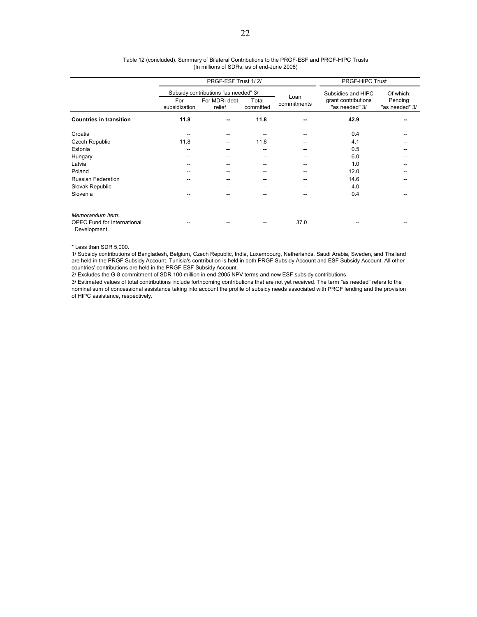|                                                                       |                      | PRGF-ESF Trust 1/2/                  | <b>PRGF-HIPC Trust</b> |                     |                                       |                           |
|-----------------------------------------------------------------------|----------------------|--------------------------------------|------------------------|---------------------|---------------------------------------|---------------------------|
|                                                                       |                      | Subsidy contributions "as needed" 3/ |                        |                     | Subsidies and HIPC                    | Of which:                 |
|                                                                       | For<br>subsidization | For MDRI debt<br>relief              | Total<br>committed     | Loan<br>commitments | grant contributions<br>"as needed" 3/ | Pending<br>"as needed" 3/ |
| <b>Countries in transition</b>                                        | 11.8                 | --                                   | 11.8                   |                     | 42.9                                  |                           |
| Croatia                                                               | --                   | --                                   |                        |                     | 0.4                                   |                           |
| Czech Republic                                                        | 11.8                 | --                                   | 11.8                   |                     | 4.1                                   |                           |
| Estonia                                                               | --                   | --                                   | --                     |                     | 0.5                                   |                           |
| Hungary                                                               | --                   |                                      | --                     |                     | 6.0                                   |                           |
| Latvia                                                                | --                   | --                                   | --                     |                     | 1.0                                   |                           |
| Poland                                                                | --                   | --                                   | --                     | --                  | 12.0                                  |                           |
| <b>Russian Federation</b>                                             | --                   | --                                   | --                     |                     | 14.6                                  |                           |
| Slovak Republic                                                       | --                   |                                      | --                     | --                  | 4.0                                   |                           |
| Slovenia                                                              |                      |                                      |                        |                     | 0.4                                   |                           |
| Memorandum Item:<br><b>OPEC Fund for International</b><br>Development |                      |                                      |                        | 37.0                |                                       |                           |

#### Table 12 (concluded). Summary of Bilateral Contributions to the PRGF-ESF and PRGF-HIPC Trusts (In millions of SDRs; as of end-June 2008)

\* Less than SDR 5,000.

1/ Subsidy contributions of Bangladesh, Belgium, Czech Republic, India, Luxembourg, Netherlands, Saudi Arabia, Sweden, and Thailand are held in the PRGF Subsidy Account. Tunisia's contribution is held in both PRGF Subsidy Account and ESF Subsidy Account. All other countries' contributions are held in the PRGF-ESF Subsidy Account.

2/ Excludes the G-8 commitment of SDR 100 million in end-2005 NPV terms and new ESF subsidy contributions.

3/ Estimated values of total contributions include forthcoming contributions that are not yet received. The term "as needed" refers to the nominal sum of concessional assistance taking into account the profile of subsidy needs associated with PRGF lending and the provision of HIPC assistance, respectively.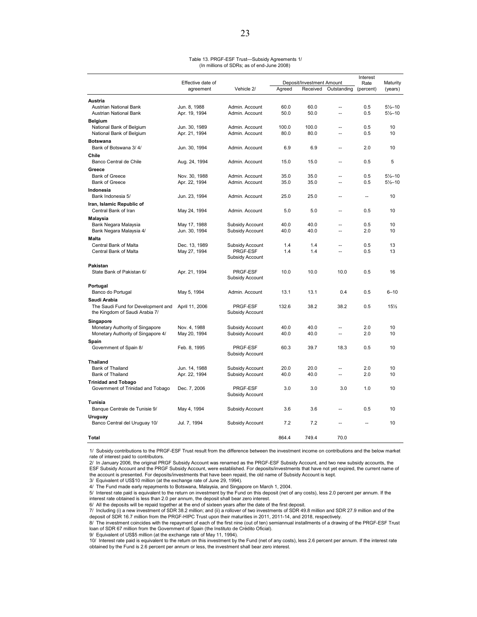#### Table 13. PRGF-ESF Trust—Subsidy Agreements 1/ (In millions of SDRs; as of end-June 2008)

|                                                                      |                                |                 |              |                                       |                      | Interest          |                     |
|----------------------------------------------------------------------|--------------------------------|-----------------|--------------|---------------------------------------|----------------------|-------------------|---------------------|
|                                                                      | Effective date of<br>agreement | Vehicle 2/      | Agreed       | Deposit/Investment Amount<br>Received | Outstanding          | Rate<br>(percent) | Maturity<br>(years) |
|                                                                      |                                |                 |              |                                       |                      |                   |                     |
| Austria                                                              |                                |                 |              |                                       |                      |                   |                     |
| Austrian National Bank                                               | Jun. 8, 1988                   | Admin. Account  | 60.0         | 60.0                                  | $\sim$               | 0.5               | $5\frac{1}{2} - 10$ |
| Austrian National Bank                                               | Apr. 19, 1994                  | Admin. Account  | 50.0         | 50.0                                  | $\overline{a}$       | 0.5               | $5\frac{1}{2} - 10$ |
| <b>Belgium</b>                                                       |                                |                 |              |                                       |                      |                   |                     |
| National Bank of Belgium                                             | Jun. 30, 1989                  | Admin. Account  | 100.0        | 100.0                                 | $\overline{a}$       | 0.5               | 10                  |
| National Bank of Belgium                                             | Apr. 21, 1994                  | Admin. Account  | 80.0         | 80.0                                  | $\sim$               | 0.5               | 10                  |
| <b>Botswana</b>                                                      |                                |                 |              |                                       |                      |                   |                     |
| Bank of Botswana 3/4/                                                | Jun. 30, 1994                  | Admin. Account  | 6.9          | 6.9                                   | Ξ.                   | 2.0               | 10                  |
| Chile                                                                |                                |                 |              |                                       |                      |                   |                     |
| Banco Central de Chile                                               | Aug. 24, 1994                  | Admin. Account  | 15.0         | 15.0                                  | --                   | 0.5               | 5                   |
| Greece                                                               |                                |                 |              |                                       |                      |                   |                     |
| <b>Bank of Greece</b>                                                | Nov. 30, 1988                  | Admin, Account  | 35.0         | 35.0                                  |                      | 0.5               | $5\frac{1}{2} - 10$ |
| <b>Bank of Greece</b>                                                | Apr. 22, 1994                  | Admin. Account  | 35.0         | 35.0                                  | $\sim$               | 0.5               | $5\frac{1}{2} - 10$ |
| Indonesia                                                            |                                |                 |              |                                       |                      |                   |                     |
| Bank Indonesia 5/                                                    | Jun. 23, 1994                  | Admin. Account  | 25.0         | 25.0                                  | $\overline{a}$       | ă.                | 10                  |
| Iran, Islamic Republic of                                            |                                |                 |              |                                       |                      |                   |                     |
| Central Bank of Iran                                                 | May 24, 1994                   | Admin. Account  | 5.0          | 5.0                                   | $\sim$               | 0.5               | 10                  |
| Malaysia                                                             |                                |                 |              |                                       |                      |                   |                     |
| Bank Negara Malaysia                                                 | May 17, 1988                   | Subsidy Account | 40.0         | 40.0                                  |                      | 0.5               | 10                  |
| Bank Negara Malaysia 4/                                              | Jun. 30, 1994                  | Subsidy Account | 40.0         | 40.0                                  | --                   | 2.0               | 10                  |
| <b>Malta</b>                                                         |                                |                 |              |                                       |                      |                   |                     |
| Central Bank of Malta                                                | Dec. 13, 1989                  | Subsidy Account | 1.4          | 1.4                                   | $\overline{a}$       | 0.5               | 13                  |
| Central Bank of Malta                                                | May 27, 1994                   | PRGF-ESF        | 1.4          | 1.4                                   | $\sim$               | 0.5               | 13                  |
|                                                                      |                                | Subsidy Account |              |                                       |                      |                   |                     |
| Pakistan                                                             |                                |                 |              |                                       |                      |                   |                     |
| State Bank of Pakistan 6/                                            | Apr. 21, 1994                  | PRGF-ESF        | 10.0         | 10.0                                  | 10.0                 | 0.5               | 16                  |
|                                                                      |                                | Subsidy Account |              |                                       |                      |                   |                     |
| Portugal                                                             |                                |                 |              |                                       |                      |                   |                     |
| Banco do Portugal                                                    | May 5, 1994                    | Admin, Account  | 13.1         | 13.1                                  | 0.4                  | 0.5               | $6 - 10$            |
|                                                                      |                                |                 |              |                                       |                      |                   |                     |
| Saudi Arabia                                                         |                                | PRGF-ESF        | 132.6        | 38.2                                  | 38.2                 | 0.5               | 15%                 |
| The Saudi Fund for Development and<br>the Kingdom of Saudi Arabia 7/ | April 11, 2006                 | Subsidy Account |              |                                       |                      |                   |                     |
|                                                                      |                                |                 |              |                                       |                      |                   |                     |
| Singapore                                                            |                                |                 |              |                                       |                      |                   |                     |
| Monetary Authority of Singapore                                      | Nov. 4, 1988                   | Subsidy Account | 40.0         | 40.0                                  |                      | 2.0               | 10                  |
| Monetary Authority of Singapore 4/                                   | May 20, 1994                   | Subsidy Account | 40.0         | 40.0                                  | $\ddot{\phantom{1}}$ | 2.0               | 10                  |
| Spain                                                                |                                |                 |              |                                       |                      |                   |                     |
| Government of Spain 8/                                               | Feb. 8, 1995                   | <b>PRGF-ESF</b> | 60.3         | 39.7                                  | 18.3                 | 0.5               | 10                  |
|                                                                      |                                | Subsidy Account |              |                                       |                      |                   |                     |
| <b>Thailand</b>                                                      |                                |                 |              |                                       |                      |                   |                     |
| <b>Bank of Thailand</b><br>Bank of Thailand                          | Jun. 14, 1988                  | Subsidy Account | 20.0<br>40.0 | 20.0<br>40.0                          | Ξ.<br>--             | 2.0<br>2.0        | 10<br>10            |
|                                                                      | Apr. 22, 1994                  | Subsidy Account |              |                                       |                      |                   |                     |
| <b>Trinidad and Tobago</b>                                           |                                |                 |              |                                       |                      |                   |                     |
| Government of Trinidad and Tobago                                    | Dec. 7, 2006                   | PRGF-ESF        | 3.0          | 3.0                                   | 3.0                  | 1.0               | 10                  |
|                                                                      |                                | Subsidy Account |              |                                       |                      |                   |                     |
| Tunisia                                                              |                                |                 |              |                                       |                      |                   |                     |
| Banque Centrale de Tunisie 9/                                        | May 4, 1994                    | Subsidy Account | 3.6          | 3.6                                   | --                   | 0.5               | 10                  |
| Uruguay                                                              |                                |                 |              |                                       |                      |                   |                     |
| Banco Central del Uruguay 10/                                        | Jul. 7, 1994                   | Subsidy Account | 7.2          | 7.2                                   |                      |                   | 10                  |
|                                                                      |                                |                 |              |                                       |                      |                   |                     |
| Total                                                                |                                |                 | 864.4        | 749.4                                 | 70.0                 |                   |                     |

1/ Subsidy contributions to the PRGF-ESF Trust result from the difference between the investment income on contributions and the below market rate of interest paid to contributors.

2/ In January 2006, the original PRGF Subsidy Account was renamed as the PRGF-ESF Subsidy Account, and two new subsidy accounts, the ESF Subsidy Account and the PRGF Subsidy Account, were established. For deposits/investments that have not yet expired, the current name of the account is presented. For deposits/investments that have been repaid, the old name of Subsidy Account is kept.

3/ Equivalent of US\$10 million (at the exchange rate of June 29, 1994).

4/ The Fund made early repayments to Botswana, Malaysia, and Singapore on March 1, 2004. 5/ Interest rate paid is equivalent to the return on investment by the Fund on this deposit (net of any costs), less 2.0 percent per annum. If the

interest rate obtained is less than 2.0 per annum, the deposit shall bear zero interest.

6/ All the deposits will be repaid together at the end of sixteen years after the date of the first deposit.

7/ Including (i) a new investment of SDR 38.2 million; and (ii) a rollover of two investments of SDR 49.8 million and SDR 27.9 million and of the deposit of SDR 16.7 million from the PRGF-HIPC Trust upon their maturities in 2011, 2011-14, and 2018, respectively.

8/ The investment coincides with the repayment of each of the first nine (out of ten) semiannual installments of a drawing of the PRGF-ESF Trust loan of SDR 67 million from the Government of Spain (the Instituto de Crédito Oficial).

9/ Equivalent of US\$5 million (at the exchange rate of May 11, 1994).

10/ Interest rate paid is equivalent to the return on this investment by the Fund (net of any costs), less 2.6 percent per annum. If the interest rate obtained by the Fund is 2.6 percent per annum or less, the investment shall bear zero interest.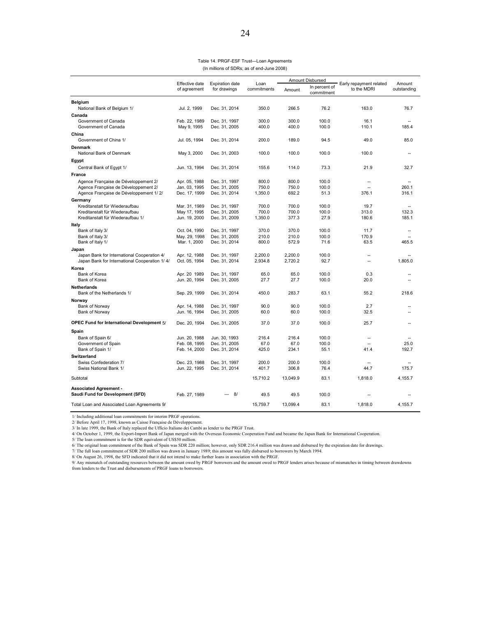| Table 14. PRGF-ESF Trust-Loan Agreements   |  |
|--------------------------------------------|--|
| (In millions of SDRs; as of end-June 2008) |  |

|                                                                              | Effective date |                                        | Loan        | Amount Disbursed |                             | Early repayment related | Amount      |
|------------------------------------------------------------------------------|----------------|----------------------------------------|-------------|------------------|-----------------------------|-------------------------|-------------|
|                                                                              | of agreement   | <b>Expiration date</b><br>for drawings | commitments | Amount           | In percent of<br>commitment | to the MDRI             | outstanding |
| <b>Belgium</b>                                                               |                |                                        |             |                  |                             |                         |             |
| National Bank of Belgium 1/                                                  | Jul. 2, 1999   | Dec. 31, 2014                          | 350.0       | 266.5            | 76.2                        | 163.0                   | 76.7        |
| Canada                                                                       |                |                                        |             |                  |                             |                         |             |
| Government of Canada                                                         | Feb. 22, 1989  | Dec. 31, 1997                          | 300.0       | 300.0            | 100.0                       | 16.1                    |             |
| Government of Canada                                                         | May 9, 1995    | Dec. 31, 2005                          | 400.0       | 400.0            | 100.0                       | 110.1                   | 185.4       |
| China<br>Government of China 1/                                              | Jul. 05, 1994  | Dec. 31, 2014                          | 200.0       | 189.0            | 94.5                        | 49.0                    | 85.0        |
| <b>Denmark</b>                                                               |                |                                        |             |                  |                             |                         |             |
| National Bank of Denmark                                                     | May 3, 2000    | Dec. 31, 2003                          | 100.0       | 100.0            | 100.0                       | 100.0                   |             |
| Egypt                                                                        |                |                                        |             |                  |                             |                         |             |
| Central Bank of Egypt 1/                                                     | Jun. 13, 1994  | Dec. 31, 2014                          | 155.6       | 114.0            | 73.3                        | 21.9                    | 32.7        |
| <b>France</b>                                                                |                |                                        |             |                  |                             |                         |             |
|                                                                              | Apr. 05, 1988  | Dec. 31, 1997                          | 800.0       | 800.0            | 100.0                       |                         |             |
| Agence Française de Développement 2/<br>Agence Française de Développement 2/ | Jan. 03, 1995  | Dec. 31, 2005                          | 750.0       | 750.0            | 100.0                       | Ξ.                      | 260.1       |
| Agence Française de Développement 1/2/                                       | Dec. 17, 1999  | Dec. 31, 2014                          | 1,350.0     | 692.2            | 51.3                        | 376.1                   | 316.1       |
| Germany                                                                      |                |                                        |             |                  |                             |                         |             |
| Kreditanstalt für Wiederaufbau                                               | Mar. 31, 1989  | Dec. 31, 1997                          | 700.0       | 700.0            | 100.0                       | 19.7                    | ц,          |
| Kreditanstalt für Wiederaufbau                                               | May 17, 1995   | Dec. 31, 2005                          | 700.0       | 700.0            | 100.0                       | 313.0                   | 132.3       |
| Kreditanstalt für Wiederaufbau 1/                                            | Jun. 19, 2000  | Dec. 31, 2009                          | 1,350.0     | 377.3            | 27.9                        | 180.6                   | 185.1       |
| Italy                                                                        |                |                                        |             |                  |                             |                         |             |
| Bank of Italy 3/                                                             | Oct. 04, 1990  | Dec. 31, 1997                          | 370.0       | 370.0            | 100.0                       | 11.7                    |             |
| Bank of Italy 3/                                                             | May. 29, 1998  | Dec. 31, 2005                          | 210.0       | 210.0            | 100.0                       | 170.9                   |             |
| Bank of Italy 1/                                                             | Mar. 1, 2000   | Dec. 31, 2014                          | 800.0       | 572.9            | 71.6                        | 63.5                    | 465.5       |
| Japan                                                                        |                |                                        |             |                  |                             |                         |             |
| Japan Bank for International Cooperation 4/                                  | Apr. 12, 1988  | Dec. 31, 1997                          | 2,200.0     | 2,200.0          | 100.0                       | $\overline{a}$          |             |
| Japan Bank for International Cooperation 1/4/                                | Oct. 05, 1994  | Dec. 31, 2014                          | 2,934.8     | 2,720.2          | 92.7                        | Ξ.                      | 1.805.0     |
| Korea                                                                        |                |                                        |             |                  |                             |                         |             |
| Bank of Korea                                                                | Apr. 20 1989   | Dec. 31, 1997                          | 65.0        | 65.0             | 100.0                       | 0.3                     | $\sim$      |
| Bank of Korea                                                                | Jun. 20, 1994  | Dec. 31, 2005                          | 27.7        | 27.7             | 100.0                       | 20.0                    |             |
| Netherlands                                                                  |                |                                        |             |                  |                             |                         |             |
| Bank of the Netherlands 1/                                                   | Sep. 29, 1999  | Dec. 31, 2014                          | 450.0       | 283.7            | 63.1                        | 55.2                    | 218.6       |
| Norway                                                                       |                |                                        |             |                  |                             |                         |             |
| Bank of Norway                                                               | Apr. 14, 1988  | Dec. 31, 1997                          | 90.0        | 90.0             | 100.0                       | 2.7                     |             |
| Bank of Norway                                                               | Jun. 16, 1994  | Dec. 31, 2005                          | 60.0        | 60.0             | 100.0                       | 32.5                    |             |
| OPEC Fund for International Development 5/                                   | Dec. 20, 1994  | Dec. 31, 2005                          | 37.0        | 37.0             | 100.0                       | 25.7                    |             |
| Spain                                                                        |                |                                        |             |                  |                             |                         |             |
| Bank of Spain 6/                                                             | Jun. 20, 1988  | Jun. 30, 1993                          | 216.4       | 216.4            | 100.0                       | $\sim$                  |             |
| Government of Spain                                                          | Feb. 08, 1995  | Dec. 31, 2005                          | 67.0        | 67.0             | 100.0                       | $\overline{a}$          | 25.0        |
| Bank of Spain 1/                                                             | Feb. 14, 2000  | Dec. 31, 2014                          | 425.0       | 234.1            | 55.1                        | 41.4                    | 192.7       |
| Switzerland                                                                  |                |                                        |             |                  |                             |                         |             |
| Swiss Confederation 7/                                                       | Dec. 23, 1988  | Dec. 31, 1997                          | 200.0       | 200.0            | 100.0                       | $\sim$                  |             |
| Swiss National Bank 1/                                                       | Jun. 22, 1995  | Dec. 31, 2014                          | 401.7       | 306.8            | 76.4                        | 44.7                    | 175.7       |
| Subtotal                                                                     |                |                                        | 15,710.2    | 13,049.9         | 83.1                        | 1,818.0                 | 4,155.7     |
| <b>Associated Agreement -</b>                                                |                |                                        |             |                  |                             |                         |             |
| Saudi Fund for Development (SFD)                                             | Feb. 27, 1989  | 8/<br>$\overline{a}$                   | 49.5        | 49.5             | 100.0                       | ٠.                      |             |
| Total Loan and Associated Loan Agreements 9/                                 |                |                                        | 15,759.7    | 13.099.4         | 83.1                        | 1.818.0                 | 4,155.7     |

1/ Including additional loan commitments for interim PRGF operations.<br>2/ Before April 17, 1998, known as Caisse Française de Développement.<br>3/ In late 1999, the Bank of Italy replaced the Ufficio Italiano dei Cambi as lend

5/ The loan commitment is for the SDR equivalent of US\$50 million.

6/ The original loan commitment of the Bank of Spain was SDR 220 million; however, only SDR 216.4 million was drawn and disbursed by the expiration date for drawings.<br>7/ The full loan commitment of SDR 200 million was draw

9/ Any mismatch of outstanding resources between the amount owed by PRGF borrowers and the amount owed to PRGF lenders arises because of mismatches in timing between drawdowns from lenders to the Trust and disbursements of PRGF loans to borrowers.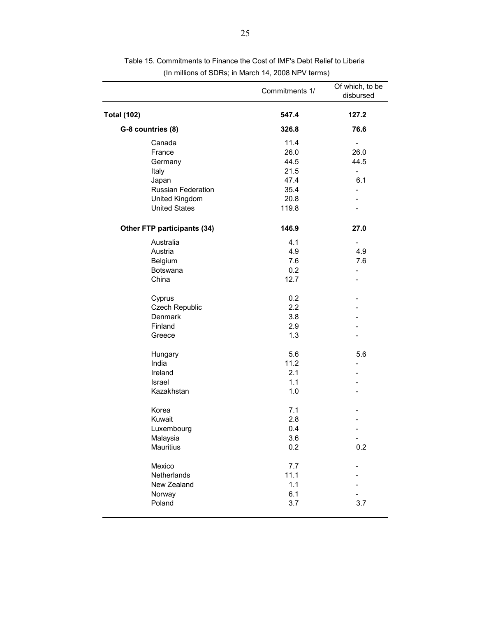|                             | Commitments 1/ | Of which, to be<br>disbursed |
|-----------------------------|----------------|------------------------------|
| <b>Total (102)</b>          | 547.4          | 127.2                        |
| G-8 countries (8)           | 326.8          | 76.6                         |
| Canada                      | 11.4           | $\overline{\phantom{a}}$     |
| France                      | 26.0           | 26.0                         |
| Germany                     | 44.5           | 44.5                         |
| Italy                       | 21.5           | $\overline{\phantom{a}}$     |
| Japan                       | 47.4           | 6.1                          |
| <b>Russian Federation</b>   | 35.4           | $\overline{\phantom{0}}$     |
| United Kingdom              | 20.8           |                              |
| <b>United States</b>        | 119.8          |                              |
| Other FTP participants (34) | 146.9          | 27.0                         |
| Australia                   | 4.1            |                              |
| Austria                     | 4.9            | 4.9                          |
| Belgium                     | 7.6            | 7.6                          |
| Botswana                    | 0.2            |                              |
| China                       | 12.7           |                              |
| Cyprus                      | 0.2            |                              |
| Czech Republic              | 2.2            |                              |
| Denmark                     | 3.8            |                              |
| Finland                     | 2.9            |                              |
| Greece                      | 1.3            |                              |
| Hungary                     | 5.6            | 5.6                          |
| India                       | 11.2           |                              |
| Ireland                     | 2.1            |                              |
| <b>Israel</b>               | 1.1            |                              |
| Kazakhstan                  | 1.0            |                              |
| Korea                       | 7.1            |                              |
| Kuwait                      | 2.8            |                              |
| Luxembourg                  | 0.4            |                              |
| Malaysia                    | 3.6            |                              |
| Mauritius                   | 0.2            | 0.2                          |
| Mexico                      | 7.7            |                              |
| Netherlands                 | 11.1           |                              |
| New Zealand                 | 1.1            |                              |
| Norway                      | 6.1            |                              |
| Poland                      | 3.7            | 3.7                          |
|                             |                |                              |

Table 15. Commitments to Finance the Cost of IMF's Debt Relief to Liberia (In millions of SDRs; in March 14, 2008 NPV terms)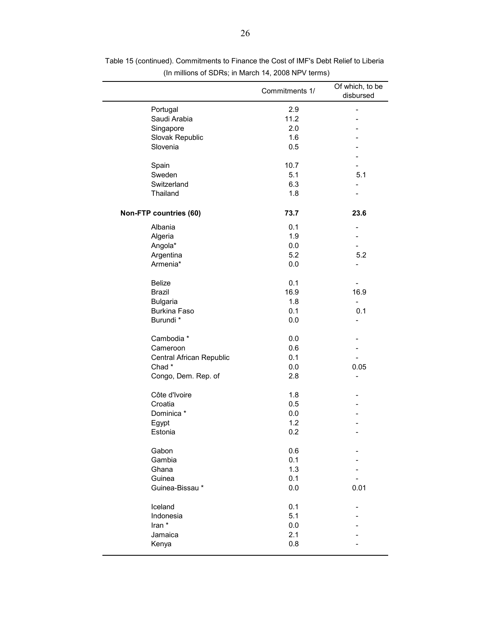|                          | Commitments 1/ | Of which, to be<br>disbursed |
|--------------------------|----------------|------------------------------|
| Portugal                 | 2.9            | $\overline{\phantom{m}}$     |
| Saudi Arabia             | 11.2           |                              |
| Singapore                | 2.0            |                              |
| Slovak Republic          | 1.6            |                              |
| Slovenia                 | 0.5            |                              |
|                          |                |                              |
| Spain                    | 10.7           |                              |
| Sweden                   | 5.1            | 5.1                          |
| Switzerland              | 6.3            |                              |
| Thailand                 | 1.8            |                              |
| Non-FTP countries (60)   | 73.7           | 23.6                         |
| Albania                  | 0.1            |                              |
| Algeria                  | 1.9            |                              |
| Angola*                  | 0.0            |                              |
| Argentina                | 5.2            | 5.2                          |
| Armenia*                 | 0.0            | $\overline{a}$               |
| <b>Belize</b>            | 0.1            |                              |
| <b>Brazil</b>            | 16.9           | 16.9                         |
| <b>Bulgaria</b>          | 1.8            | $\overline{\phantom{0}}$     |
| <b>Burkina Faso</b>      | 0.1            | 0.1                          |
| Burundi *                | 0.0            |                              |
| Cambodia *               | 0.0            |                              |
| Cameroon                 | 0.6            |                              |
| Central African Republic | 0.1            |                              |
| Chad*                    | 0.0            | 0.05                         |
| Congo, Dem. Rep. of      | 2.8            | $\overline{\phantom{a}}$     |
| Côte d'Ivoire            | 1.8            |                              |
| Croatia                  | 0.5            |                              |
| Dominica *               | 0.0            |                              |
| Egypt                    | 1.2            |                              |
| Estonia                  | 0.2            |                              |
| Gabon                    | 0.6            |                              |
| Gambia                   | 0.1            |                              |
| Ghana                    | 1.3            |                              |
| Guinea                   | 0.1            |                              |
| Guinea-Bissau*           | 0.0            | 0.01                         |
| Iceland                  | 0.1            |                              |
| Indonesia                | 5.1            |                              |
| Iran *                   | 0.0            |                              |
| Jamaica                  | 2.1            |                              |
| Kenya                    | 0.8            |                              |
|                          |                |                              |

Table 15 (continued). Commitments to Finance the Cost of IMF's Debt Relief to Liberia (In millions of SDRs; in March 14, 2008 NPV terms)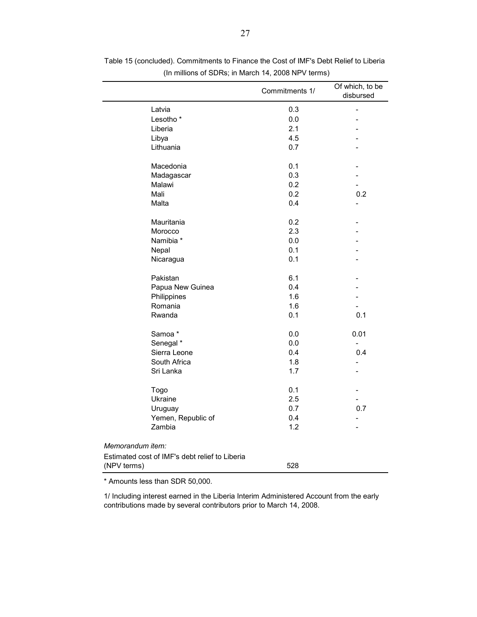|                                                | Commitments 1/ | Of which, to be<br>disbursed |
|------------------------------------------------|----------------|------------------------------|
| Latvia                                         | 0.3            | $\overline{a}$               |
| Lesotho <sup>*</sup>                           | 0.0            |                              |
| Liberia                                        | 2.1            |                              |
| Libya                                          | 4.5            |                              |
| Lithuania                                      | 0.7            |                              |
| Macedonia                                      | 0.1            |                              |
| Madagascar                                     | 0.3            |                              |
| Malawi                                         | 0.2            |                              |
| Mali                                           | 0.2            | 0.2                          |
| Malta                                          | 0.4            |                              |
| Mauritania                                     | 0.2            |                              |
| Morocco                                        | 2.3            |                              |
| Namibia *                                      | 0.0            |                              |
| Nepal                                          | 0.1            |                              |
| Nicaragua                                      | 0.1            |                              |
| Pakistan                                       | 6.1            |                              |
| Papua New Guinea                               | 0.4            |                              |
| Philippines                                    | 1.6            |                              |
| Romania                                        | 1.6            |                              |
| Rwanda                                         | 0.1            | 0.1                          |
| Samoa*                                         | 0.0            | 0.01                         |
| Senegal *                                      | 0.0            | $\overline{\phantom{a}}$     |
| Sierra Leone                                   | 0.4            | 0.4                          |
| South Africa                                   | 1.8            |                              |
| Sri Lanka                                      | 1.7            |                              |
| Togo                                           | 0.1            |                              |
| Ukraine                                        | 2.5            |                              |
| Uruguay                                        | 0.7            | 0.7                          |
| Yemen, Republic of                             | 0.4            |                              |
| Zambia                                         | 1.2            |                              |
| Memorandum item:                               |                |                              |
| Estimated cost of IMF's debt relief to Liberia |                |                              |
| (NPV terms)                                    | 528            |                              |

Table 15 (concluded). Commitments to Finance the Cost of IMF's Debt Relief to Liberia (In millions of SDRs; in March 14, 2008 NPV terms)

\* Amounts less than SDR 50,000.

1/ Including interest earned in the Liberia Interim Administered Account from the early contributions made by several contributors prior to March 14, 2008.